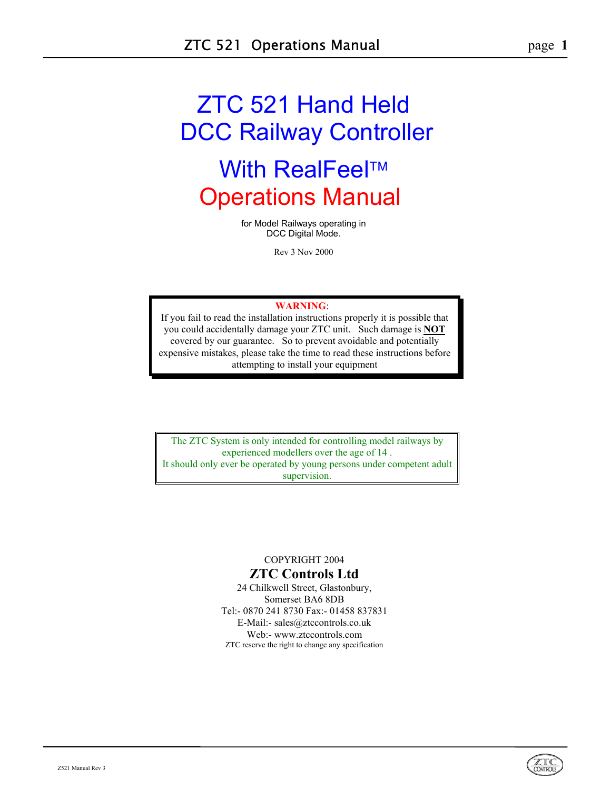# ZTC 521 Hand Held DCC Railway Controller **With RealFeel™** Operations Manual

for Model Railways operating in DCC Digital Mode.

Rev 3 Nov 2000

#### **WARNING**:

If you fail to read the installation instructions properly it is possible that you could accidentally damage your ZTC unit. Such damage is **NOT** covered by our guarantee. So to prevent avoidable and potentially expensive mistakes, please take the time to read these instructions before attempting to install your equipment

The ZTC System is only intended for controlling model railways by experienced modellers over the age of 14 . It should only ever be operated by young persons under competent adult supervision.

# COPYRIGHT 2004

# **ZTC Controls Ltd**

24 Chilkwell Street, Glastonbury, Somerset BA6 8DB Tel:- 0870 241 8730 Fax:- 01458 837831 E-Mail:- sales@ztccontrols.co.uk Web:- www.ztccontrols.com ZTC reserve the right to change any specification

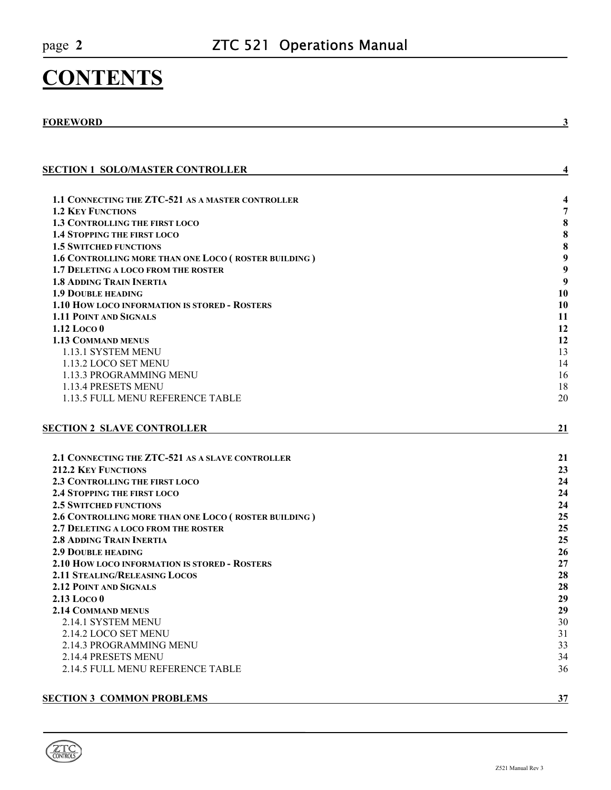# **CONTENTS**

# **FOREWORD** 3

| <b>SECTION 1 SOLO/MASTER CONTROLLER</b>                                               | 4         |
|---------------------------------------------------------------------------------------|-----------|
| 1.1 CONNECTING THE ZTC-521 AS A MASTER CONTROLLER                                     | 4         |
| <b>1.2 KEY FUNCTIONS</b>                                                              | 7         |
| 1.3 CONTROLLING THE FIRST LOCO                                                        | ${\bf 8}$ |
| <b>1.4 STOPPING THE FIRST LOCO</b>                                                    | ${\bf 8}$ |
| <b>1.5 SWITCHED FUNCTIONS</b>                                                         | 8         |
| 1.6 CONTROLLING MORE THAN ONE LOCO (ROSTER BUILDING)                                  | 9         |
| 1.7 DELETING A LOCO FROM THE ROSTER                                                   | 9         |
| <b>1.8 ADDING TRAIN INERTIA</b>                                                       | 9         |
| <b>1.9 DOUBLE HEADING</b>                                                             | 10        |
| <b>1.10 HOW LOCO INFORMATION IS STORED - ROSTERS</b>                                  | 10        |
| <b>1.11 POINT AND SIGNALS</b>                                                         | 11        |
| $1.12$ Loco $0$                                                                       | 12        |
| <b>1.13 COMMAND MENUS</b>                                                             | 12        |
| 1.13.1 SYSTEM MENU                                                                    | 13        |
| 1.13.2 LOCO SET MENU                                                                  | 14        |
| 1.13.3 PROGRAMMING MENU                                                               | 16        |
| 1.13.4 PRESETS MENU                                                                   | 18        |
| 1.13.5 FULL MENU REFERENCE TABLE                                                      | 20        |
|                                                                                       |           |
| <b>SECTION 2 SLAVE CONTROLLER</b>                                                     | 21        |
|                                                                                       |           |
| 2.1 CONNECTING THE ZTC-521 AS A SLAVE CONTROLLER                                      | 21        |
| <b>212.2 KEY FUNCTIONS</b>                                                            | 23        |
| 2.3 CONTROLLING THE FIRST LOCO                                                        | 24        |
| <b>2.4 STOPPING THE FIRST LOCO</b>                                                    | 24        |
| <b>2.5 SWITCHED FUNCTIONS</b>                                                         | 24        |
| 2.6 CONTROLLING MORE THAN ONE LOCO (ROSTER BUILDING)                                  | 25<br>25  |
| 2.7 DELETING A LOCO FROM THE ROSTER<br><b>2.8 ADDING TRAIN INERTIA</b>                | 25        |
|                                                                                       |           |
| <b>2.9 DOUBLE HEADING</b>                                                             | 26<br>27  |
| 2.10 HOW LOCO INFORMATION IS STORED - ROSTERS<br><b>2.11 STEALING/RELEASING LOCOS</b> | 28        |
| <b>2.12 POINT AND SIGNALS</b>                                                         | 28        |
| 2.13 Loco 0                                                                           | 29        |
| <b>2.14 COMMAND MENUS</b>                                                             | 29        |
| 2.14.1 SYSTEM MENU                                                                    | 30        |
| 2.14.2 LOCO SET MENU                                                                  | 31        |
| 2.14.3 PROGRAMMING MENU                                                               | 33        |
| 2.14.4 PRESETS MENU                                                                   | 34        |
| 2.14.5 FULL MENU REFERENCE TABLE                                                      | 36        |
|                                                                                       |           |
|                                                                                       |           |

#### **SECTION 3 COMMON PROBLEMS** 37

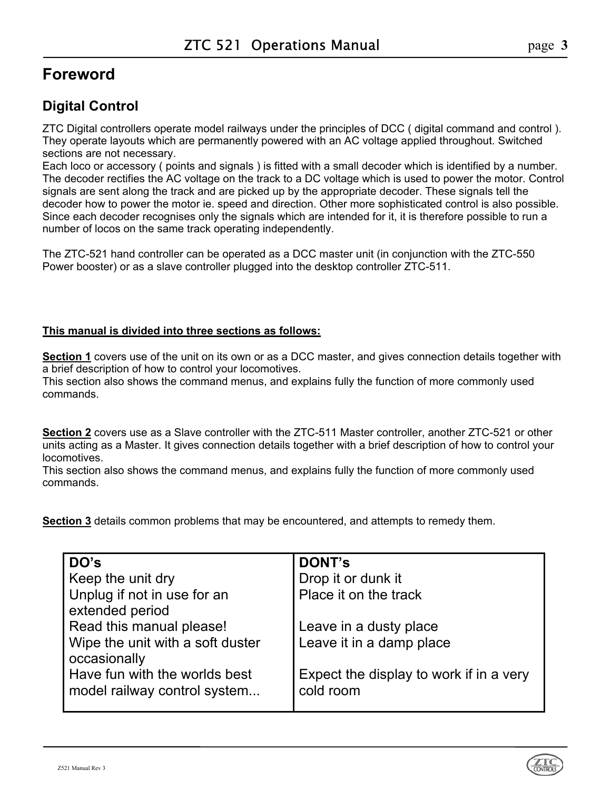# <span id="page-2-0"></span>**Foreword**

# **Digital Control**

ZTC Digital controllers operate model railways under the principles of DCC ( digital command and control ). They operate layouts which are permanently powered with an AC voltage applied throughout. Switched sections are not necessary.

Each loco or accessory ( points and signals ) is fitted with a small decoder which is identified by a number. The decoder rectifies the AC voltage on the track to a DC voltage which is used to power the motor. Control signals are sent along the track and are picked up by the appropriate decoder. These signals tell the decoder how to power the motor ie. speed and direction. Other more sophisticated control is also possible. Since each decoder recognises only the signals which are intended for it, it is therefore possible to run a number of locos on the same track operating independently.

The ZTC-521 hand controller can be operated as a DCC master unit (in conjunction with the ZTC-550 Power booster) or as a slave controller plugged into the desktop controller ZTC-511.

#### **This manual is divided into three sections as follows:**

**Section 1** covers use of the unit on its own or as a DCC master, and gives connection details together with a brief description of how to control your locomotives.

This section also shows the command menus, and explains fully the function of more commonly used commands.

**Section 2** covers use as a Slave controller with the ZTC-511 Master controller, another ZTC-521 or other units acting as a Master. It gives connection details together with a brief description of how to control your locomotives.

This section also shows the command menus, and explains fully the function of more commonly used commands.

**Section 3** details common problems that may be encountered, and attempts to remedy them.

| DO's                             | <b>DONT's</b>                           |
|----------------------------------|-----------------------------------------|
| Keep the unit dry                | Drop it or dunk it                      |
| Unplug if not in use for an      | Place it on the track                   |
| extended period                  |                                         |
| Read this manual please!         | Leave in a dusty place                  |
| Wipe the unit with a soft duster | Leave it in a damp place                |
| occasionally                     |                                         |
| Have fun with the worlds best    | Expect the display to work if in a very |
| model railway control system     | cold room                               |
|                                  |                                         |

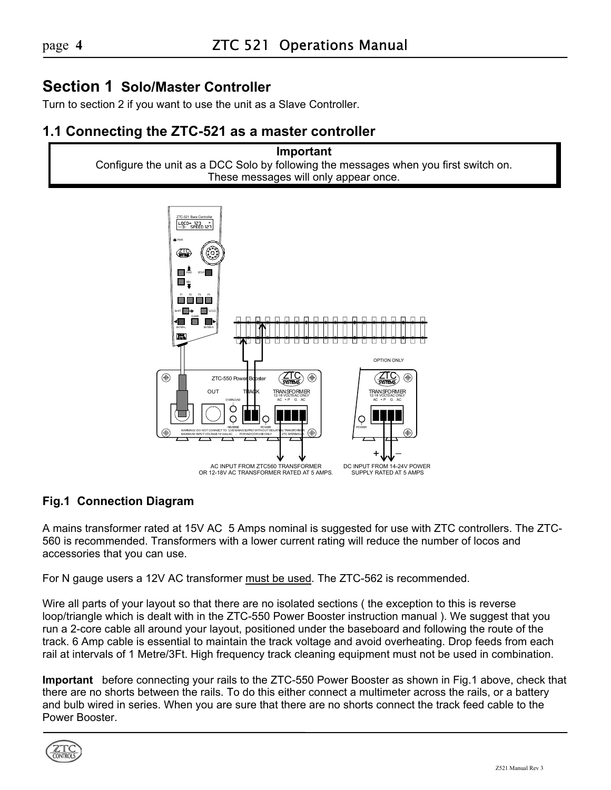# <span id="page-3-0"></span>**Section 1 Solo/Master Controller**

Turn to section 2 if you want to use the unit as a Slave Controller.

# <span id="page-3-1"></span>**1.1 Connecting the ZTC-521 as a master controller**

**Important** Configure the unit as a DCC Solo by following the messages when you first switch on. These messages will only appear once.



# **Fig.1 Connection Diagram**

A mains transformer rated at 15V AC 5 Amps nominal is suggested for use with ZTC controllers. The ZTC-560 is recommended. Transformers with a lower current rating will reduce the number of locos and accessories that you can use.

For N gauge users a 12V AC transformer must be used. The ZTC-562 is recommended.

Wire all parts of your layout so that there are no isolated sections ( the exception to this is reverse loop/triangle which is dealt with in the ZTC-550 Power Booster instruction manual ). We suggest that you run a 2-core cable all around your layout, positioned under the baseboard and following the route of the track. 6 Amp cable is essential to maintain the track voltage and avoid overheating. Drop feeds from each rail at intervals of 1 Metre/3Ft. High frequency track cleaning equipment must not be used in combination.

**Important** before connecting your rails to the ZTC-550 Power Booster as shown in Fig.1 above, check that there are no shorts between the rails. To do this either connect a multimeter across the rails, or a battery and bulb wired in series. When you are sure that there are no shorts connect the track feed cable to the Power Booster.

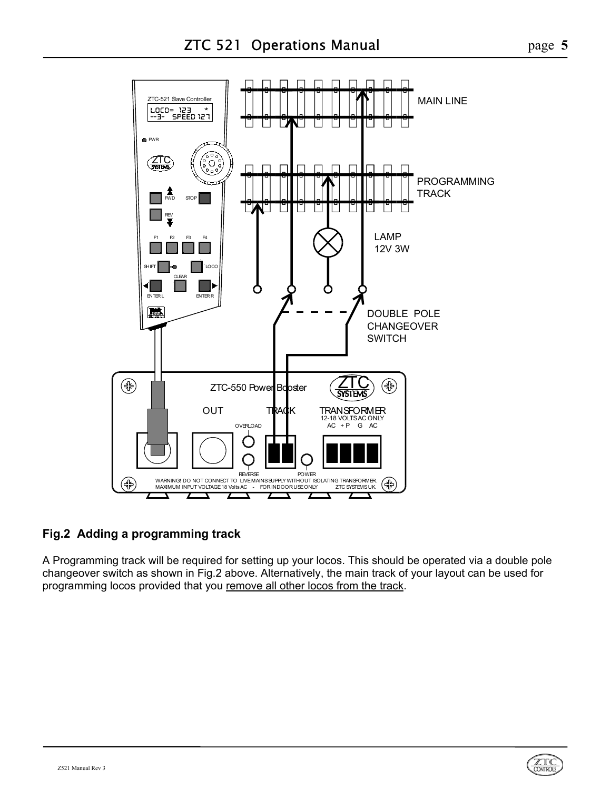

# **Fig.2 Adding a programming track**

A Programming track will be required for setting up your locos. This should be operated via a double pole changeover switch as shown in Fig.2 above. Alternatively, the main track of your layout can be used for programming locos provided that you remove all other locos from the track.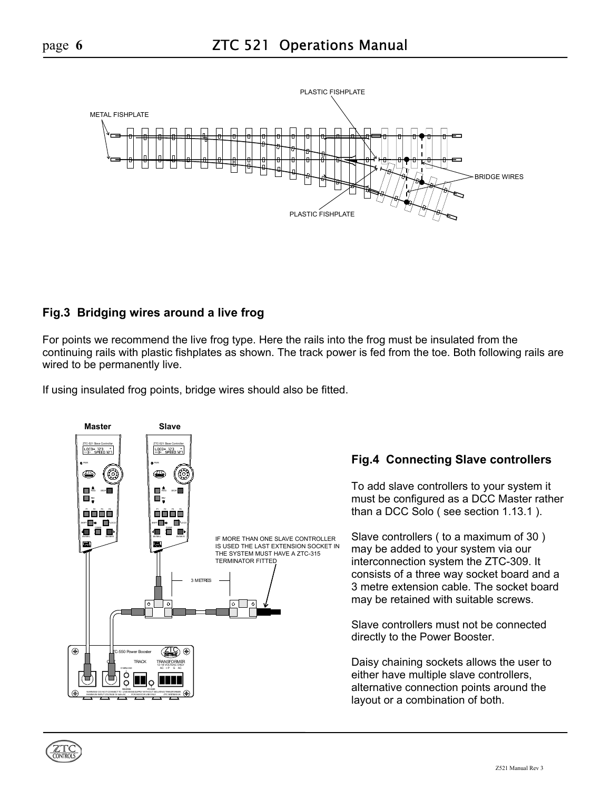

# **Fig.3 Bridging wires around a live frog**

For points we recommend the live frog type. Here the rails into the frog must be insulated from the continuing rails with plastic fishplates as shown. The track power is fed from the toe. Both following rails are wired to be permanently live.

If using insulated frog points, bridge wires should also be fitted.



# **Fig.4 Connecting Slave controllers**

To add slave controllers to your system it must be configured as a DCC Master rather than a DCC Solo ( see section 1.13.1 ).

Slave controllers ( to a maximum of 30 ) may be added to your system via our interconnection system the ZTC-309. It consists of a three way socket board and a 3 metre extension cable. The socket board may be retained with suitable screws.

Slave controllers must not be connected directly to the Power Booster.

Daisy chaining sockets allows the user to either have multiple slave controllers, alternative connection points around the layout or a combination of both.

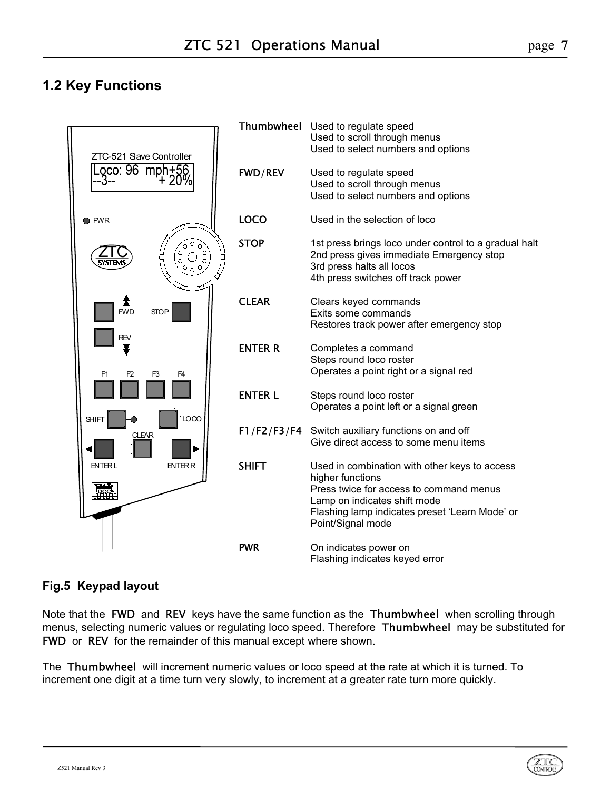# <span id="page-6-0"></span>**1.2 Key Functions**



# **Fig.5 Keypad layout**

Note that the FWD and REV keys have the same function as the Thumbwheel when scrolling through menus, selecting numeric values or regulating loco speed. Therefore Thumbwheel may be substituted for FWD or REV for the remainder of this manual except where shown.

The Thumbwheel will increment numeric values or loco speed at the rate at which it is turned. To increment one digit at a time turn very slowly, to increment at a greater rate turn more quickly.

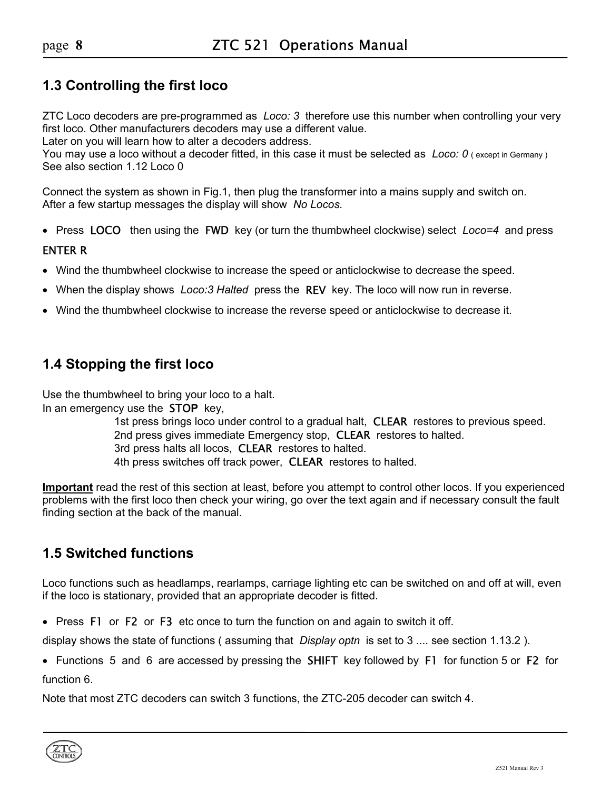# <span id="page-7-0"></span>**1.3 Controlling the first loco**

ZTC Loco decoders are pre-programmed as *Loco: 3* therefore use this number when controlling your very first loco. Other manufacturers decoders may use a different value.

Later on you will learn how to alter a decoders address.

You may use a loco without a decoder fitted, in this case it must be selected as *Loco: 0* (except in Germany) See also section 1.12 Loco 0

Connect the system as shown in Fig.1, then plug the transformer into a mains supply and switch on. After a few startup messages the display will show *No Locos.*

• Press LOCOthen using the FWD key (or turn the thumbwheel clockwise) select *Loco=4* and press

#### ENTER R

- Wind the thumbwheel clockwise to increase the speed or anticlockwise to decrease the speed.
- When the display shows *Loco:3 Halted* press the REV key. The loco will now run in reverse.
- Wind the thumbwheel clockwise to increase the reverse speed or anticlockwise to decrease it.

# <span id="page-7-1"></span>**1.4 Stopping the first loco**

Use the thumbwheel to bring your loco to a halt. In an emergency use the STO**P** key,

> 1st press brings loco under control to a gradual halt, CLEAR restores to previous speed. 2nd press gives immediate Emergency stop, **CLEAR** restores to halted. 3rd press halts all locos, **CLEAR** restores to halted. 4th press switches off track power, **CLEAR** restores to halted.

**Important** read the rest of this section at least, before you attempt to control other locos. If you experienced problems with the first loco then check your wiring, go over the text again and if necessary consult the fault finding section at the back of the manual.

# <span id="page-7-2"></span>**1.5 Switched functions**

Loco functions such as headlamps, rearlamps, carriage lighting etc can be switched on and off at will, even if the loco is stationary, provided that an appropriate decoder is fitted.

• Press F1 or F2 or F3 etc once to turn the function on and again to switch it off.

display shows the state of functions ( assuming that *Display optn* is set to 3 .... see section 1.13.2 ).

• Functions 5 and 6 are accessed by pressing the SHIFT key followed by F1 for function 5 or F2 for function 6.

Note that most ZTC decoders can switch 3 functions, the ZTC-205 decoder can switch 4.

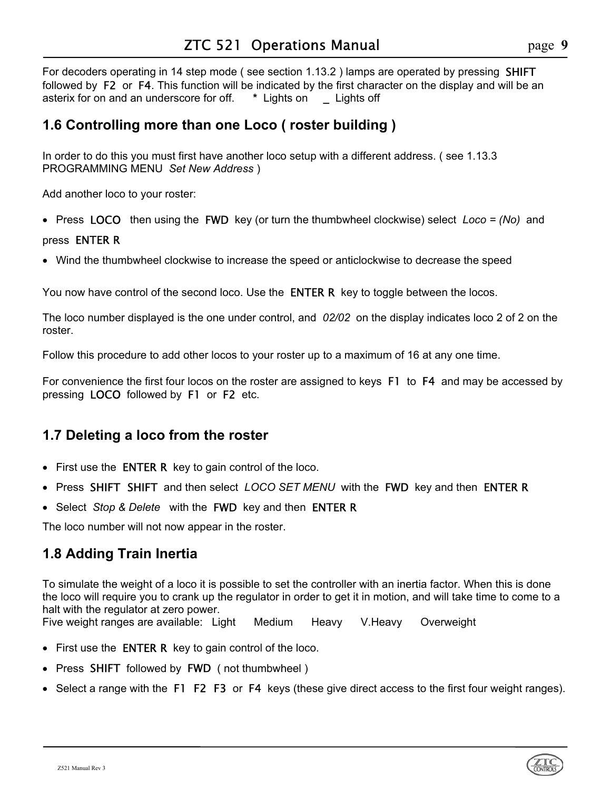For decoders operating in 14 step mode (see section 1.13.2) lamps are operated by pressing **SHIFT** followed by F2 or F4. This function will be indicated by the first character on the display and will be an asterix for on and an underscore for off.  $*$  Lights on Lights off asterix for on and an underscore for off. **\*** Lights on **\_** Lights off

# <span id="page-8-0"></span>**1.6 Controlling more than one Loco ( roster building )**

In order to do this you must first have another loco setup with a different address. ( see 1.13.3 PROGRAMMING MENU *Set New Address* )

Add another loco to your roster:

• Press LOCOthen using the FWD key (or turn the thumbwheel clockwise) select *Loco = (No)* and

### pressENTER R

• Wind the thumbwheel clockwise to increase the speed or anticlockwise to decrease the speed

You now have control of the second loco. Use the **ENTER R** key to toggle between the locos.

The loco number displayed is the one under control, and *02/02* on the display indicates loco 2 of 2 on the roster.

Follow this procedure to add other locos to your roster up to a maximum of 16 at any one time.

For convenience the first four locos on the roster are assigned to keys F1 to F4 and may be accessed by pressing LOCO followed by F1 or F2 etc.

# <span id="page-8-1"></span>**1.7 Deleting a loco from the roster**

- First use the **ENTER R** key to gain control of the loco.
- Press SHIFT SHIFT and then select *LOCO SET MENU* with the FWD key and then ENTER R
- Select *Stop & Delete* with the FWD key and then ENTER R

The loco number will not now appear in the roster.

# <span id="page-8-2"></span>**1.8 Adding Train Inertia**

To simulate the weight of a loco it is possible to set the controller with an inertia factor. When this is done the loco will require you to crank up the regulator in order to get it in motion, and will take time to come to a halt with the regulator at zero power.

Five weight ranges are available: Light Medium Heavy V.Heavy Overweight

- First use the **ENTER R** key to gain control of the loco.
- Press SHIFT followed by FWD( not thumbwheel )
- Select a range with the F1 F2 F3orF4 keys (these give direct access to the first four weight ranges).

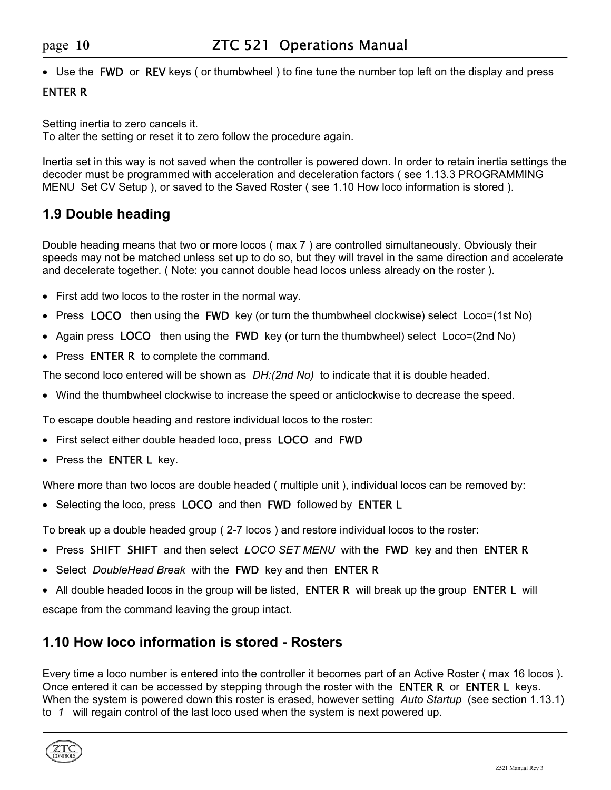• Use the FWD or REV keys (or thumbwheel) to fine tune the number top left on the display and press

### ENTER R

Setting inertia to zero cancels it. To alter the setting or reset it to zero follow the procedure again.

Inertia set in this way is not saved when the controller is powered down. In order to retain inertia settings the decoder must be programmed with acceleration and deceleration factors ( see 1.13.3 PROGRAMMING MENU Set CV Setup ), or saved to the Saved Roster ( see 1.10 How loco information is stored ).

# <span id="page-9-0"></span>**1.9 Double heading**

Double heading means that two or more locos ( max 7 ) are controlled simultaneously. Obviously their speeds may not be matched unless set up to do so, but they will travel in the same direction and accelerate and decelerate together. ( Note: you cannot double head locos unless already on the roster ).

- First add two locos to the roster in the normal way.
- Press LOCO then using the **FWD** key (or turn the thumbwheel clockwise) select Loco=(1st No)
- Again press LOCOthen using the FWD key (or turn the thumbwheel) select Loco=(2nd No)
- Press **ENTER R** to complete the command.

The second loco entered will be shown as *DH:(2nd No)* to indicate that it is double headed.

• Wind the thumbwheel clockwise to increase the speed or anticlockwise to decrease the speed.

To escape double heading and restore individual locos to the roster:

- First select either double headed loco, press LOCO and FWD
- Press the **ENTER L** key.

Where more than two locos are double headed ( multiple unit ), individual locos can be removed by:

• Selecting the loco, press LOCO and then FWD followed by ENTER L

To break up a double headed group ( 2-7 locos ) and restore individual locos to the roster:

- Press SHIFT SHIFT and then select *LOCO SET MENU* with the FWD key and then ENTER R
- Select *DoubleHead Break* with the FWD key and then ENTER R
- All double headed locos in the group will be listed, ENTER R will break up the group ENTER L will

escape from the command leaving the group intact.

# <span id="page-9-1"></span>**1.10 How loco information is stored - Rosters**

Every time a loco number is entered into the controller it becomes part of an Active Roster ( max 16 locos ). Once entered it can be accessed by stepping through the roster with the **ENTER R** or **ENTER L** keys. When the system is powered down this roster is erased, however setting *Auto Startup* (see section 1.13.1) to *1* will regain control of the last loco used when the system is next powered up.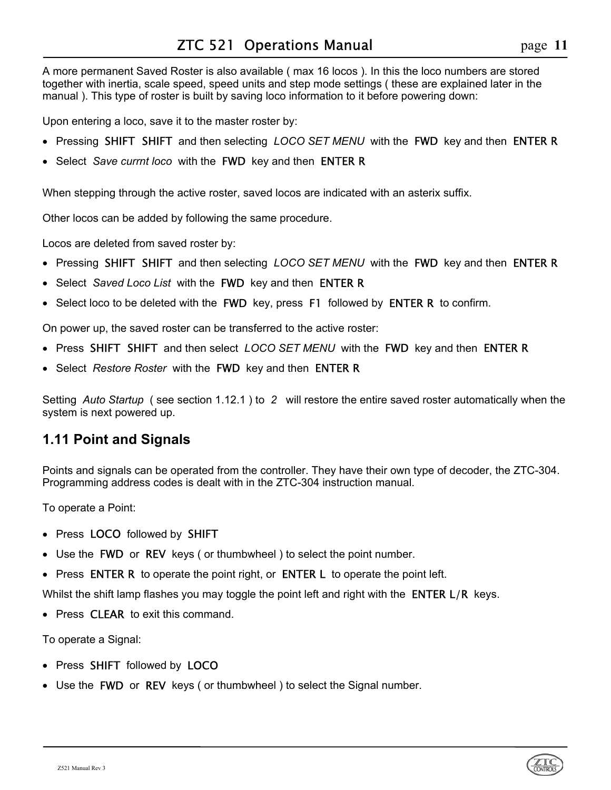A more permanent Saved Roster is also available ( max 16 locos ). In this the loco numbers are stored together with inertia, scale speed, speed units and step mode settings ( these are explained later in the manual ). This type of roster is built by saving loco information to it before powering down:

Upon entering a loco, save it to the master roster by:

- Pressing SHIFT SHIFT and then selecting *LOCO SET MENU* with the FWD key and then ENTER R
- Select *Save currnt loco* with the FWD key and then ENTER R

When stepping through the active roster, saved locos are indicated with an asterix suffix.

Other locos can be added by following the same procedure.

Locos are deleted from saved roster by:

- Pressing SHIFT SHIFT and then selecting *LOCO SET MENU* with the FWD key and then ENTER R
- Select *Saved Loco List* with the FWD key and then ENTER R
- Select loco to be deleted with the FWD key, press F1 followed by ENTER R to confirm.

On power up, the saved roster can be transferred to the active roster:

- Press SHIFT SHIFT and then select *LOCO SET MENU* with the FWD key and then ENTER R
- Select *Restore Roster* with the FWD key and then ENTER R

Setting *Auto Startup* ( see section 1.12.1 ) to *2* will restore the entire saved roster automatically when the system is next powered up.

# <span id="page-10-0"></span>**1.11 Point and Signals**

Points and signals can be operated from the controller. They have their own type of decoder, the ZTC-304. Programming address codes is dealt with in the ZTC-304 instruction manual.

To operate a Point:

- Press LOCO followed by SHIFT
- Use the FWD or REV keys ( or thumbwheel ) to select the point number.
- Press ENTER R to operate the point right, or ENTER L to operate the point left.

Whilst the shift lamp flashes you may toggle the point left and right with the **ENTER L/R** keys.

• Press **CLEAR** to exit this command.

To operate a Signal:

- Press SHIFT followed by LOCO
- Use the FWD or REV keys (or thumbwheel) to select the Signal number.

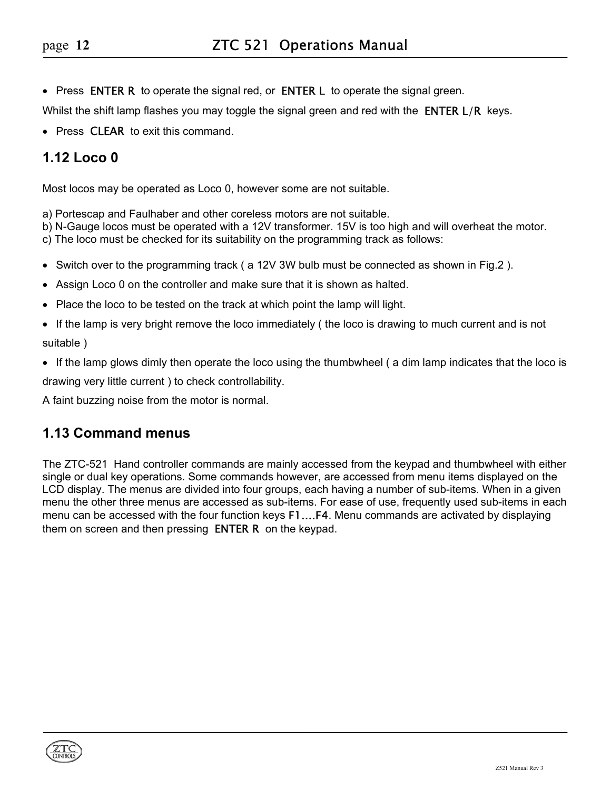• Press ENTER R to operate the signal red, or ENTER L to operate the signal green.

Whilst the shift lamp flashes you may toggle the signal green and red with the **ENTER L/R** keys.

• Press **CLEAR** to exit this command.

# <span id="page-11-0"></span>**1.12 Loco 0**

Most locos may be operated as Loco 0, however some are not suitable.

a) Portescap and Faulhaber and other coreless motors are not suitable.

b) N-Gauge locos must be operated with a 12V transformer. 15V is too high and will overheat the motor.

c) The loco must be checked for its suitability on the programming track as follows:

- Switch over to the programming track ( a 12V 3W bulb must be connected as shown in Fig.2 ).
- Assign Loco 0 on the controller and make sure that it is shown as halted.
- Place the loco to be tested on the track at which point the lamp will light.
- If the lamp is very bright remove the loco immediately ( the loco is drawing to much current and is not suitable )
- If the lamp glows dimly then operate the loco using the thumbwheel ( a dim lamp indicates that the loco is drawing very little current ) to check controllability.

A faint buzzing noise from the motor is normal.

# <span id="page-11-1"></span>**1.13 Command menus**

The ZTC-521 Hand controller commands are mainly accessed from the keypad and thumbwheel with either single or dual key operations. Some commands however, are accessed from menu items displayed on the LCD display. The menus are divided into four groups, each having a number of sub-items. When in a given menu the other three menus are accessed as sub-items. For ease of use, frequently used sub-items in each menu can be accessed with the four function keys F1....F4. Menu commands are activated by displaying them on screen and then pressing **ENTER R** on the keypad.

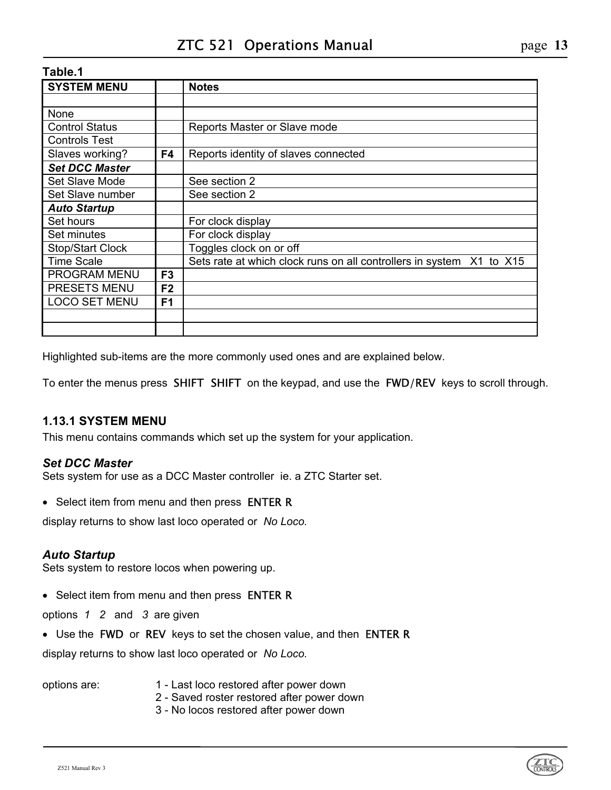| <b>SYSTEM MENU</b>      |                | <b>Notes</b>                                                         |
|-------------------------|----------------|----------------------------------------------------------------------|
|                         |                |                                                                      |
| None                    |                |                                                                      |
| <b>Control Status</b>   |                | Reports Master or Slave mode                                         |
| <b>Controls Test</b>    |                |                                                                      |
| Slaves working?         | F4             | Reports identity of slaves connected                                 |
| <b>Set DCC Master</b>   |                |                                                                      |
| Set Slave Mode          |                | See section 2                                                        |
| Set Slave number        |                | See section 2                                                        |
| <b>Auto Startup</b>     |                |                                                                      |
| Set hours               |                | For clock display                                                    |
| Set minutes             |                | For clock display                                                    |
| <b>Stop/Start Clock</b> |                | Toggles clock on or off                                              |
| <b>Time Scale</b>       |                | Sets rate at which clock runs on all controllers in system X1 to X15 |
| PROGRAM MENU            | F <sub>3</sub> |                                                                      |
| PRESETS MENU            | F <sub>2</sub> |                                                                      |
| <b>LOCO SET MENU</b>    | F <sub>1</sub> |                                                                      |
|                         |                |                                                                      |
|                         |                |                                                                      |

Highlighted sub-items are the more commonly used ones and are explained below.

To enter the menus press SHIFT SHIFT on the keypad, and use the FWD/REV keys to scroll through.

# <span id="page-12-0"></span>**1.13.1 SYSTEM MENU**

This menu contains commands which set up the system for your application.

# *Set DCC Master*

Sets system for use as a DCC Master controller ie. a ZTC Starter set.

• Select item from menu and then press ENTER R

display returns to show last loco operated or *No Loco.*

# *Auto Startup*

Sets system to restore locos when powering up.

• Select item from menu and then press ENTER R

options *1 2* and *3* are given

• Use the FWD or REV keys to set the chosen value, and then ENTER R

display returns to show last loco operated or *No Loco.*

- options are: 1 Last loco restored after power down
	- 2 Saved roster restored after power down
	- 3 No locos restored after power down

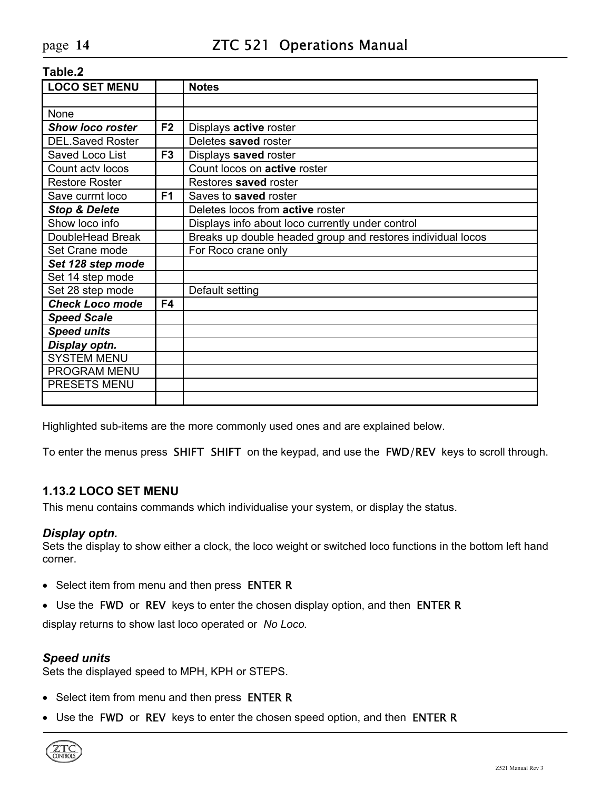| <b>LOCO SET MENU</b>     |                | <b>Notes</b>                                                |
|--------------------------|----------------|-------------------------------------------------------------|
|                          |                |                                                             |
| None                     |                |                                                             |
| <b>Show loco roster</b>  | F <sub>2</sub> | Displays active roster                                      |
| <b>DEL.Saved Roster</b>  |                | Deletes saved roster                                        |
| Saved Loco List          | F <sub>3</sub> | Displays saved roster                                       |
| Count acty locos         |                | Count locos on <b>active</b> roster                         |
| <b>Restore Roster</b>    |                | Restores saved roster                                       |
| Save currnt loco         | F <sub>1</sub> | Saves to saved roster                                       |
| <b>Stop &amp; Delete</b> |                | Deletes locos from active roster                            |
| Show loco info           |                | Displays info about loco currently under control            |
| DoubleHead Break         |                | Breaks up double headed group and restores individual locos |
| Set Crane mode           |                | For Roco crane only                                         |
| Set 128 step mode        |                |                                                             |
| Set 14 step mode         |                |                                                             |
| Set 28 step mode         |                | Default setting                                             |
| <b>Check Loco mode</b>   | F4             |                                                             |
| <b>Speed Scale</b>       |                |                                                             |
| <b>Speed units</b>       |                |                                                             |
| Display optn.            |                |                                                             |
| <b>SYSTEM MENU</b>       |                |                                                             |
| PROGRAM MENU             |                |                                                             |
| PRESETS MENU             |                |                                                             |
|                          |                |                                                             |

Highlighted sub-items are the more commonly used ones and are explained below.

To enter the menus press SHIFT SHIFT on the keypad, and use the FWD/REV keys to scroll through.

#### <span id="page-13-0"></span>**1.13.2 LOCO SET MENU**

This menu contains commands which individualise your system, or display the status.

#### *Display optn.*

Sets the display to show either a clock, the loco weight or switched loco functions in the bottom left hand corner.

- Select item from menu and then press ENTER R
- Use the FWD or REV keys to enter the chosen display option, and then ENTER R

display returns to show last loco operated or *No Loco.*

#### *Speed units*

Sets the displayed speed to MPH, KPH or STEPS.

- Select item from menu and then press ENTER R
- Use the FWD or REV keys to enter the chosen speed option, and then ENTER R

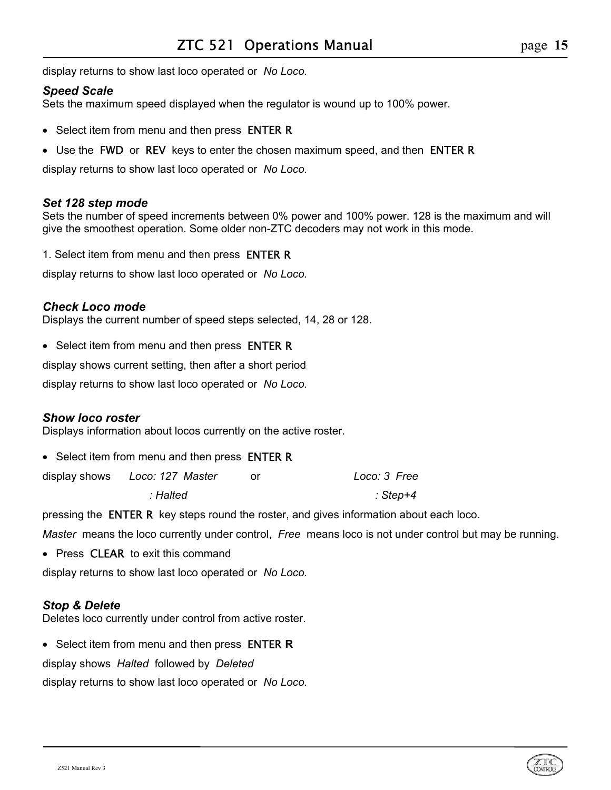display returns to show last loco operated or *No Loco.*

# *Speed Scale*

Sets the maximum speed displayed when the regulator is wound up to 100% power.

- Select item from menu and then press **ENTER R**
- Use the FWD or REV keys to enter the chosen maximum speed, and then ENTER R

display returns to show last loco operated or *No Loco.*

### *Set 128 step mode*

Sets the number of speed increments between 0% power and 100% power. 128 is the maximum and will give the smoothest operation. Some older non-ZTC decoders may not work in this mode.

1. Select item from menu and then press ENTER R

display returns to show last loco operated or *No Loco.*

# *Check Loco mode*

Displays the current number of speed steps selected, 14, 28 or 128.

• Select item from menu and then press ENTER R

display shows current setting, then after a short period

display returns to show last loco operated or *No Loco.*

# *Show loco roster*

Displays information about locos currently on the active roster.

• Select item from menu and then press **ENTER R** 

| display shows Loco: 127 Master | Loco: 3 Free |
|--------------------------------|--------------|
| : Halted                       | : Step+4     |

pressing the ENTER Rkey steps round the roster, and gives information about each loco.

*Master* means the loco currently under control, *Free* means loco is not under control but may be running.

• Press **CLEAR** to exit this command

display returns to show last loco operated or *No Loco.*

#### *Stop & Delete*

Deletes loco currently under control from active roster.

• Select item from menu and then press ENTER **R**

display shows *Halted* followed by *Deleted*

display returns to show last loco operated or *No Loco.*



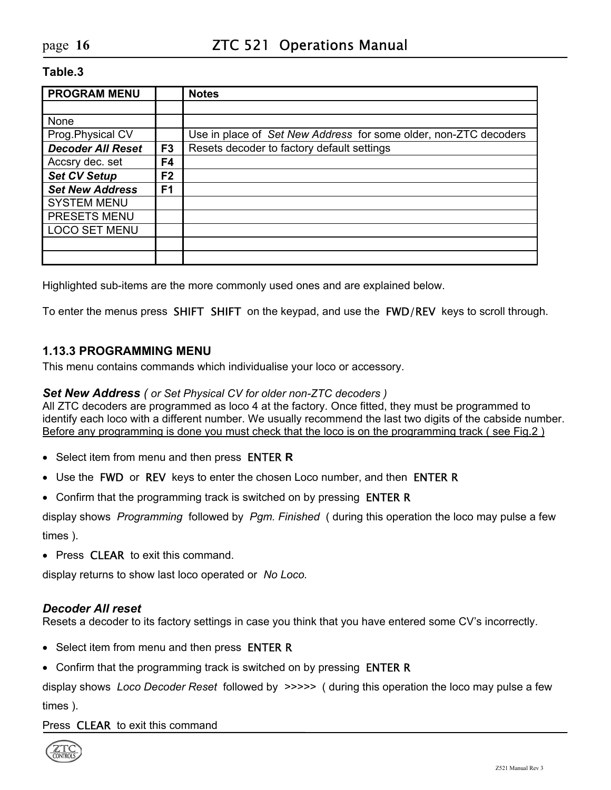| <b>PROGRAM MENU</b>      |                | <b>Notes</b>                                                     |
|--------------------------|----------------|------------------------------------------------------------------|
|                          |                |                                                                  |
| None                     |                |                                                                  |
| Prog. Physical CV        |                | Use in place of Set New Address for some older, non-ZTC decoders |
| <b>Decoder All Reset</b> | F <sub>3</sub> | Resets decoder to factory default settings                       |
| Accsry dec. set          | F4             |                                                                  |
| <b>Set CV Setup</b>      | F <sub>2</sub> |                                                                  |
| <b>Set New Address</b>   | F <sub>1</sub> |                                                                  |
| <b>SYSTEM MENU</b>       |                |                                                                  |
| PRESETS MENU             |                |                                                                  |
| <b>LOCO SET MENU</b>     |                |                                                                  |
|                          |                |                                                                  |
|                          |                |                                                                  |

Highlighted sub-items are the more commonly used ones and are explained below.

To enter the menus press SHIFT SHIFT on the keypad, and use the FWD/REV keys to scroll through.

#### <span id="page-15-0"></span>**1.13.3 PROGRAMMING MENU**

This menu contains commands which individualise your loco or accessory.

#### *Set New Address ( or Set Physical CV for older non-ZTC decoders )*

All ZTC decoders are programmed as loco 4 at the factory. Once fitted, they must be programmed to identify each loco with a different number. We usually recommend the last two digits of the cabside number. Before any programming is done you must check that the loco is on the programming track ( see Fig.2 )

- Select item from menu and then press ENTER **R**
- Use the FWD or REV keys to enter the chosen Loco number, and then ENTER R
- Confirm that the programming track is switched on by pressing **ENTER R**

display shows *Programming* followed by *Pgm. Finished* ( during this operation the loco may pulse a few times ).

• Press **CLEAR** to exit this command.

display returns to show last loco operated or *No Loco.*

#### *Decoder All reset*

Resets a decoder to its factory settings in case you think that you have entered some CV's incorrectly.

- Select item from menu and then press **ENTER R**
- Confirm that the programming track is switched on by pressing **ENTER R**

display shows *Loco Decoder Reset* followed by *>>>>>* ( during this operation the loco may pulse a few times ).

#### Press **CLEAR** to exit this command

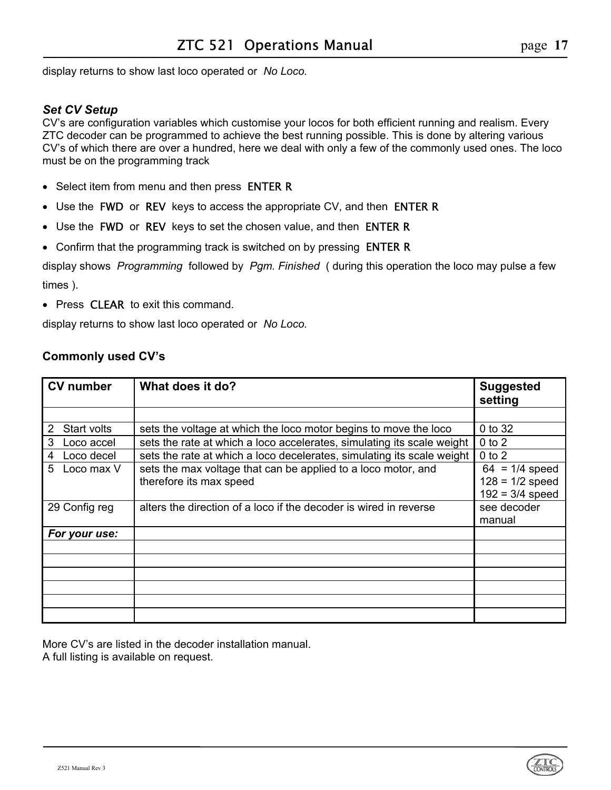display returns to show last loco operated or *No Loco.*

### *Set CV Setup*

CV's are configuration variables which customise your locos for both efficient running and realism. Every ZTC decoder can be programmed to achieve the best running possible. This is done by altering various CV's of which there are over a hundred, here we deal with only a few of the commonly used ones. The loco must be on the programming track

- Select item from menu and then press ENTER R
- Use the FWD or REV keys to access the appropriate CV, and then ENTER R
- Use the FWD or REV keys to set the chosen value, and then ENTER R
- Confirm that the programming track is switched on by pressing **ENTER R**

display shows *Programming* followed by *Pgm. Finished* ( during this operation the loco may pulse a few times ).

• Press **CLEAR** to exit this command.

display returns to show last loco operated or *No Loco.*

### **Commonly used CV's**

| <b>CV</b> number | What does it do?                                                                         | <b>Suggested</b><br>setting                                |
|------------------|------------------------------------------------------------------------------------------|------------------------------------------------------------|
|                  |                                                                                          |                                                            |
| Start volts<br>2 | sets the voltage at which the loco motor begins to move the loco                         | 0 to 32                                                    |
| 3<br>Loco accel  | sets the rate at which a loco accelerates, simulating its scale weight                   | $0$ to $2$                                                 |
| Loco decel<br>4  | sets the rate at which a loco decelerates, simulating its scale weight                   | $0$ to $2$                                                 |
| 5<br>Loco max V  | sets the max voltage that can be applied to a loco motor, and<br>therefore its max speed | $64 = 1/4$ speed<br>$128 = 1/2$ speed<br>$192 = 3/4$ speed |
| 29 Config reg    | alters the direction of a loco if the decoder is wired in reverse                        | see decoder<br>manual                                      |
| For your use:    |                                                                                          |                                                            |
|                  |                                                                                          |                                                            |
|                  |                                                                                          |                                                            |
|                  |                                                                                          |                                                            |
|                  |                                                                                          |                                                            |
|                  |                                                                                          |                                                            |
|                  |                                                                                          |                                                            |

More CV's are listed in the decoder installation manual. A full listing is available on request.

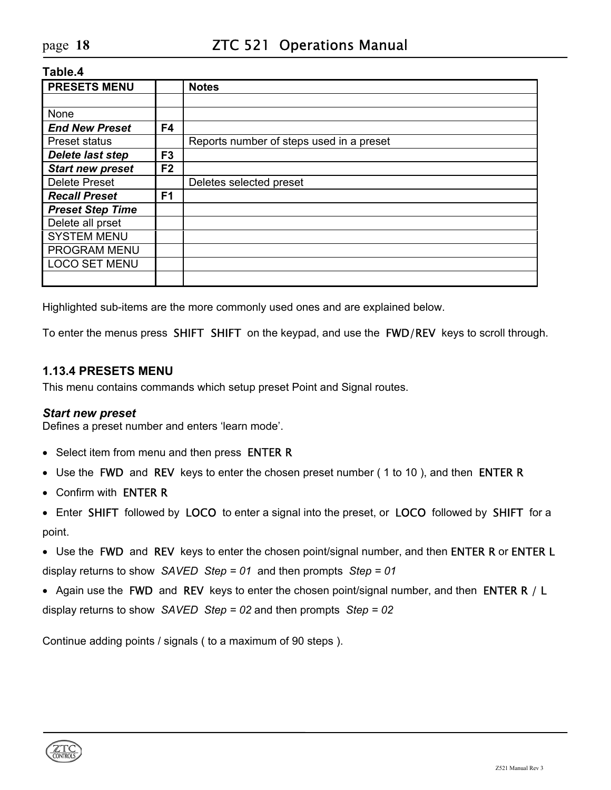| <b>PRESETS MENU</b>     |                | <b>Notes</b>                             |
|-------------------------|----------------|------------------------------------------|
|                         |                |                                          |
| None                    |                |                                          |
| <b>End New Preset</b>   | F4             |                                          |
| <b>Preset status</b>    |                | Reports number of steps used in a preset |
| <b>Delete last step</b> | F <sub>3</sub> |                                          |
| <b>Start new preset</b> | F <sub>2</sub> |                                          |
| <b>Delete Preset</b>    |                | Deletes selected preset                  |
| <b>Recall Preset</b>    | F <sub>1</sub> |                                          |
| <b>Preset Step Time</b> |                |                                          |
| Delete all prset        |                |                                          |
| <b>SYSTEM MENU</b>      |                |                                          |
| PROGRAM MENU            |                |                                          |
| <b>LOCO SET MENU</b>    |                |                                          |
|                         |                |                                          |

Highlighted sub-items are the more commonly used ones and are explained below.

To enter the menus press SHIFT SHIFT on the keypad, and use the FWD/REV keys to scroll through.

#### <span id="page-17-0"></span>**1.13.4 PRESETS MENU**

This menu contains commands which setup preset Point and Signal routes.

#### *Start new preset*

Defines a preset number and enters 'learn mode'.

- Select item from menu and then press **ENTER R**
- Use the FWD and REV keys to enter the chosen preset number (1 to 10), and then ENTER R
- Confirm with ENTER R
- Enter SHIFT followed by LOCO to enter a signal into the preset, or LOCO followed by SHIFT for a point.
- Use the FWD and REV keys to enter the chosen point/signal number, and then ENTER R or ENTER L display returns to show *SAVED Step = 01* and then prompts *Step = 01*
- Again use the FWD and REV keys to enter the chosen point/signal number, and then ENTER R / L display returns to show *SAVED Step = 02* and then prompts *Step = 02*

Continue adding points / signals ( to a maximum of 90 steps ).

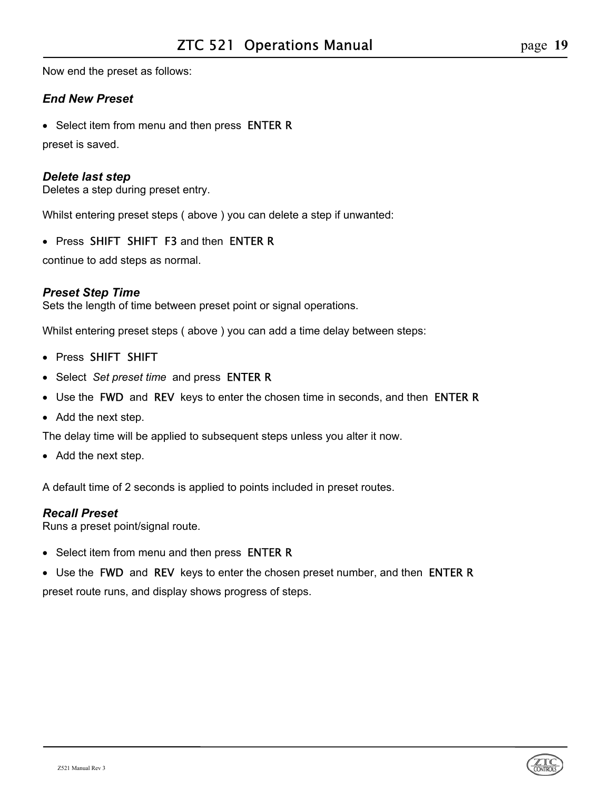Now end the preset as follows:

### *End New Preset*

• Select item from menu and then press **ENTER R** 

preset is saved.

### *Delete last step*

Deletes a step during preset entry.

Whilst entering preset steps ( above ) you can delete a step if unwanted:

• Press SHIFT SHIFT F3 and then ENTER R

continue to add steps as normal.

### *Preset Step Time*

Sets the length of time between preset point or signal operations.

Whilst entering preset steps ( above ) you can add a time delay between steps:

- Press SHIFT SHIFT
- Select *Set preset time* and press ENTER R
- Use the FWD and REV keys to enter the chosen time in seconds, and then ENTER R
- Add the next step.

The delay time will be applied to subsequent steps unless you alter it now.

• Add the next step.

A default time of 2 seconds is applied to points included in preset routes.

#### *Recall Preset*

Runs a preset point/signal route.

- Select item from menu and then press **ENTER R**
- Use the FWD and REV keys to enter the chosen preset number, and then ENTER R

preset route runs, and display shows progress of steps.

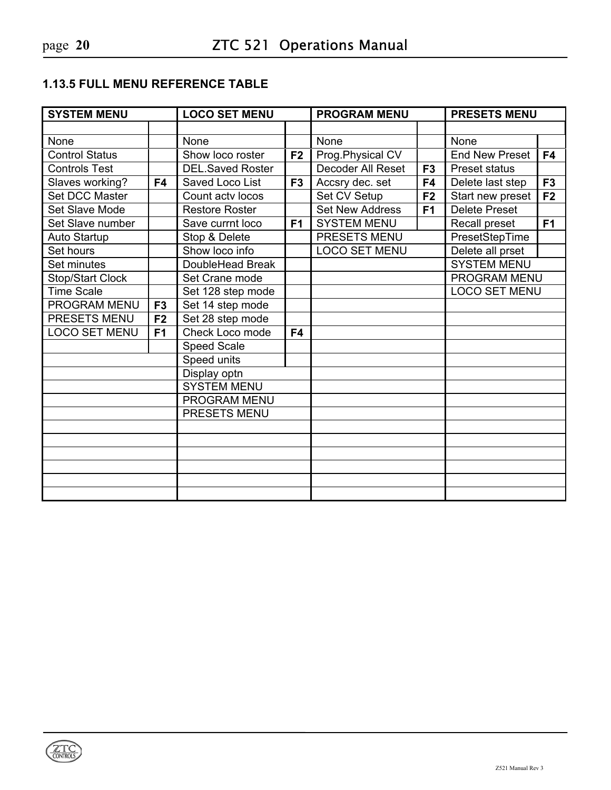# <span id="page-19-0"></span>**1.13.5 FULL MENU REFERENCE TABLE**

| <b>SYSTEM MENU</b>    |                | <b>LOCO SET MENU</b>    |                | <b>PROGRAM MENU</b>    |                | <b>PRESETS MENU</b>   |                |
|-----------------------|----------------|-------------------------|----------------|------------------------|----------------|-----------------------|----------------|
|                       |                |                         |                |                        |                |                       |                |
| None                  |                | None                    |                | None                   |                | None                  |                |
| <b>Control Status</b> |                | Show loco roster        | F <sub>2</sub> | Prog.Physical CV       |                | <b>End New Preset</b> | F4             |
| <b>Controls Test</b>  |                | <b>DEL.Saved Roster</b> |                | Decoder All Reset      | F <sub>3</sub> | Preset status         |                |
| Slaves working?       | F4             | Saved Loco List         | F <sub>3</sub> | Accsry dec. set        | F4             | Delete last step      | F <sub>3</sub> |
| Set DCC Master        |                | Count actv locos        |                | Set CV Setup           | F <sub>2</sub> | Start new preset      | F <sub>2</sub> |
| Set Slave Mode        |                | <b>Restore Roster</b>   |                | <b>Set New Address</b> | F <sub>1</sub> | <b>Delete Preset</b>  |                |
| Set Slave number      |                | Save currnt loco        | F <sub>1</sub> | <b>SYSTEM MENU</b>     |                | Recall preset         | F <sub>1</sub> |
| Auto Startup          |                | Stop & Delete           |                | PRESETS MENU           |                | PresetStepTime        |                |
| Set hours             |                | Show loco info          |                | <b>LOCO SET MENU</b>   |                | Delete all prset      |                |
| Set minutes           |                | DoubleHead Break        |                |                        |                | <b>SYSTEM MENU</b>    |                |
| Stop/Start Clock      |                | Set Crane mode          |                |                        |                | PROGRAM MENU          |                |
| <b>Time Scale</b>     |                | Set 128 step mode       |                |                        |                | <b>LOCO SET MENU</b>  |                |
| PROGRAM MENU          | F <sub>3</sub> | Set 14 step mode        |                |                        |                |                       |                |
| PRESETS MENU          | F <sub>2</sub> | Set 28 step mode        |                |                        |                |                       |                |
| <b>LOCO SET MENU</b>  | F <sub>1</sub> | Check Loco mode         | F4             |                        |                |                       |                |
|                       |                | <b>Speed Scale</b>      |                |                        |                |                       |                |
|                       |                | Speed units             |                |                        |                |                       |                |
|                       |                | Display optn            |                |                        |                |                       |                |
|                       |                | <b>SYSTEM MENU</b>      |                |                        |                |                       |                |
|                       |                | <b>PROGRAM MENU</b>     |                |                        |                |                       |                |
|                       |                | PRESETS MENU            |                |                        |                |                       |                |
|                       |                |                         |                |                        |                |                       |                |
|                       |                |                         |                |                        |                |                       |                |
|                       |                |                         |                |                        |                |                       |                |
|                       |                |                         |                |                        |                |                       |                |
|                       |                |                         |                |                        |                |                       |                |
|                       |                |                         |                |                        |                |                       |                |

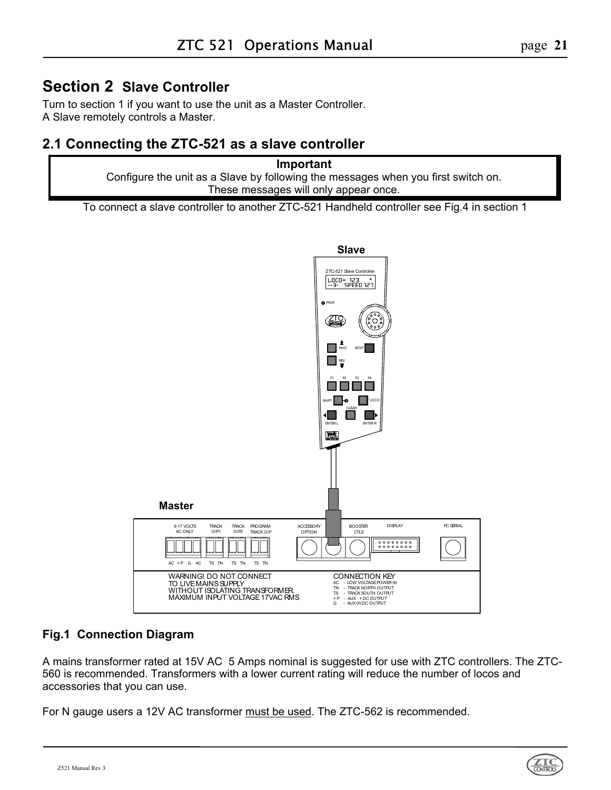# <span id="page-20-0"></span>**Section 2 Slave Controller**

Turn to section 1 if you want to use the unit as a Master Controller. A Slave remotely controls a Master.

# <span id="page-20-1"></span>**2.1 Connecting the ZTC-521 as a slave controller**

**Important** Configure the unit as a Slave by following the messages when you first switch on. These messages will only appear once.

To connect a slave controller to another ZTC-521 Handheld controller see Fig.4 in section 1

<span id="page-20-2"></span>

# **Fig.1 Connection Diagram**

A mains transformer rated at 15V AC 5 Amps nominal is suggested for use with ZTC controllers. The ZTC-560 is recommended. Transformers with a lower current rating will reduce the number of locos and accessories that you can use.

For N gauge users a 12V AC transformer must be used. The ZTC-562 is recommended.

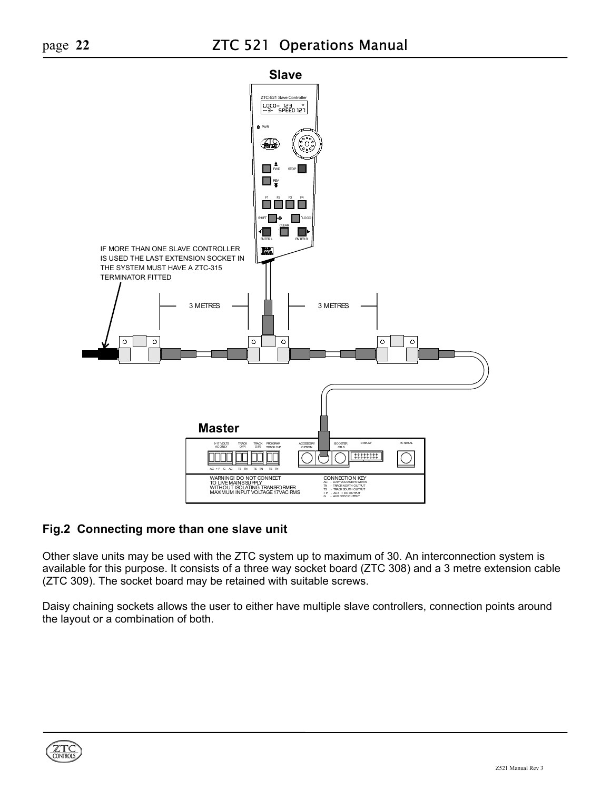

# **Fig.2 Connecting more than one slave unit**

Other slave units may be used with the ZTC system up to maximum of 30. An interconnection system is available for this purpose. It consists of a three way socket board (ZTC 308) and a 3 metre extension cable (ZTC 309). The socket board may be retained with suitable screws.

Daisy chaining sockets allows the user to either have multiple slave controllers, connection points around the layout or a combination of both.

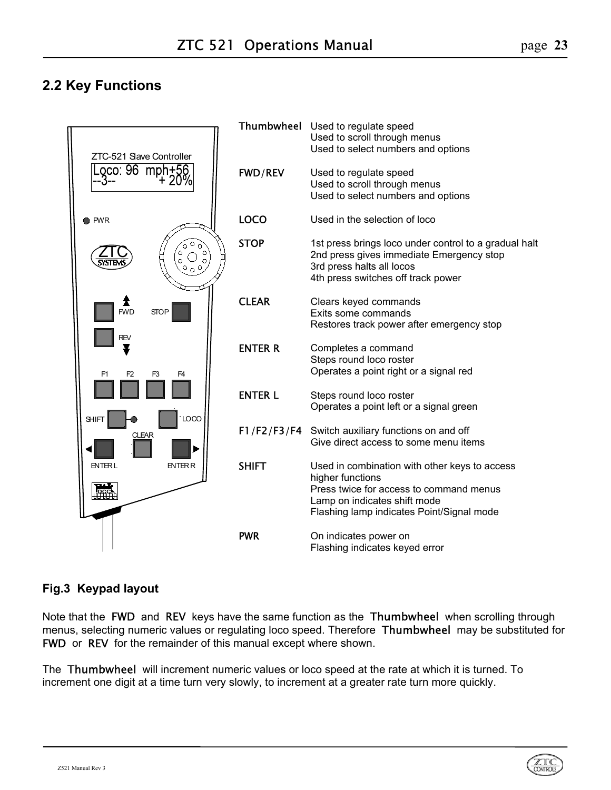# <span id="page-22-0"></span>**2.2 Key Functions**



# **Fig.3 Keypad layout**

Note that the FWD and REV keys have the same function as the Thumbwheel when scrolling through menus, selecting numeric values or regulating loco speed. Therefore **Thumbwheel** may be substituted for FWD or REV for the remainder of this manual except where shown.

The Thumbwheel will increment numeric values or loco speed at the rate at which it is turned. To increment one digit at a time turn very slowly, to increment at a greater rate turn more quickly.

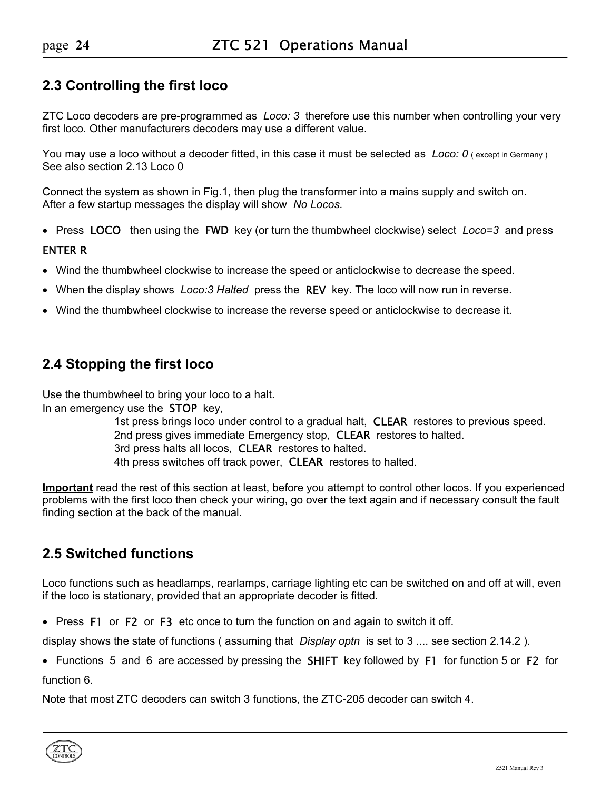# <span id="page-23-0"></span>**2.3 Controlling the first loco**

ZTC Loco decoders are pre-programmed as *Loco: 3* therefore use this number when controlling your very first loco. Other manufacturers decoders may use a different value.

You may use a loco without a decoder fitted, in this case it must be selected as *Loco: 0* (except in Germany) See also section 2.13 Loco 0

Connect the system as shown in Fig.1, then plug the transformer into a mains supply and switch on. After a few startup messages the display will show *No Locos.*

• Press LOCOthen using the FWD key (or turn the thumbwheel clockwise) select *Loco=3* and press

#### ENTER R

- Wind the thumbwheel clockwise to increase the speed or anticlockwise to decrease the speed.
- When the display shows *Loco:3 Halted* press the REV key. The loco will now run in reverse.
- Wind the thumbwheel clockwise to increase the reverse speed or anticlockwise to decrease it.

# <span id="page-23-1"></span>**2.4 Stopping the first loco**

Use the thumbwheel to bring your loco to a halt. In an emergency use the STOP key,

> 1st press brings loco under control to a gradual halt, CLEAR restores to previous speed. 2nd press gives immediate Emergency stop, **CLEAR** restores to halted. 3rd press halts all locos, **CLEAR** restores to halted. 4th press switches off track power, **CLEAR** restores to halted.

**Important** read the rest of this section at least, before you attempt to control other locos. If you experienced problems with the first loco then check your wiring, go over the text again and if necessary consult the fault finding section at the back of the manual.

# <span id="page-23-2"></span>**2.5 Switched functions**

Loco functions such as headlamps, rearlamps, carriage lighting etc can be switched on and off at will, even if the loco is stationary, provided that an appropriate decoder is fitted.

• Press F1 or F2 or F3 etc once to turn the function on and again to switch it off.

display shows the state of functions ( assuming that *Display optn* is set to 3 .... see section 2.14.2 ).

• Functions 5 and 6 are accessed by pressing the SHIFT key followed by F1 for function 5 or F2 for function 6.

Note that most ZTC decoders can switch 3 functions, the ZTC-205 decoder can switch 4.

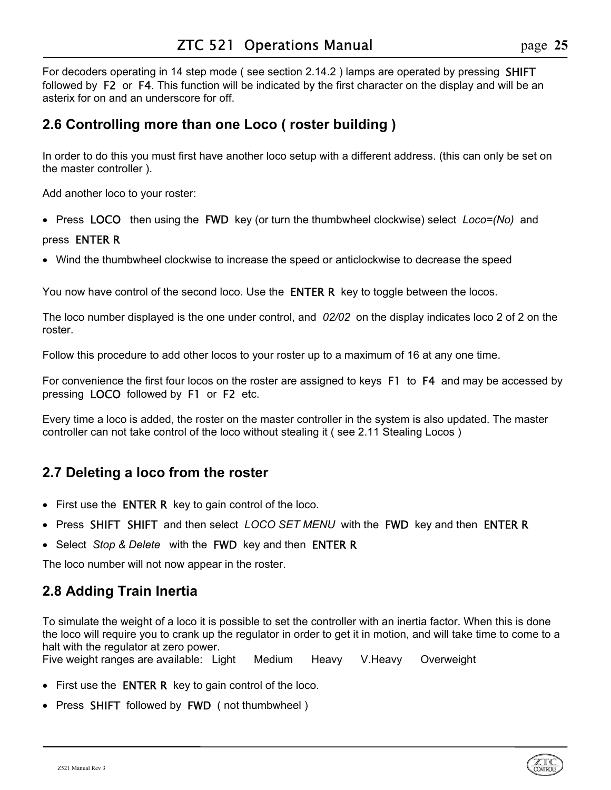For decoders operating in 14 step mode (see section 2.14.2) lamps are operated by pressing **SHIFT** followed by F2 or F4. This function will be indicated by the first character on the display and will be an asterix for on and an underscore for off.

# <span id="page-24-0"></span>**2.6 Controlling more than one Loco ( roster building )**

In order to do this you must first have another loco setup with a different address. (this can only be set on the master controller ).

Add another loco to your roster:

• Press LOCOthen using the FWD key (or turn the thumbwheel clockwise) select *Loco=(No)* and

### pressENTER R

• Wind the thumbwheel clockwise to increase the speed or anticlockwise to decrease the speed

You now have control of the second loco. Use the **ENTER R** key to toggle between the locos.

The loco number displayed is the one under control, and *02/02* on the display indicates loco 2 of 2 on the roster.

Follow this procedure to add other locos to your roster up to a maximum of 16 at any one time.

For convenience the first four locos on the roster are assigned to keys F1 to F4 and may be accessed by pressing LOCO followed by F1 or F2 etc.

Every time a loco is added, the roster on the master controller in the system is also updated. The master controller can not take control of the loco without stealing it ( see 2.11 Stealing Locos )

# <span id="page-24-1"></span>**2.7 Deleting a loco from the roster**

- First use the **ENTER R** key to gain control of the loco.
- Press SHIFT SHIFT and then select *LOCO SET MENU* with the FWD key and then ENTER R
- Select *Stop & Delete* with the FWD key and then ENTER R

The loco number will not now appear in the roster.

# <span id="page-24-2"></span>**2.8 Adding Train Inertia**

To simulate the weight of a loco it is possible to set the controller with an inertia factor. When this is done the loco will require you to crank up the regulator in order to get it in motion, and will take time to come to a halt with the regulator at zero power.

Five weight ranges are available: Light Medium Heavy V.Heavy Overweight

- First use the **ENTER R** key to gain control of the loco.
- Press SHIFT followed by FWD( not thumbwheel )

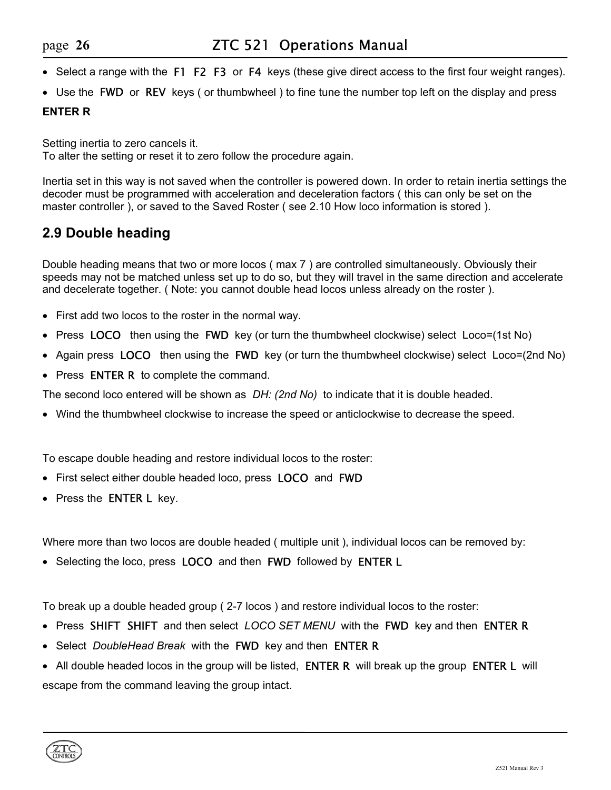- Select a range with the F1 F2 F3orF4 keys (these give direct access to the first four weight ranges).
- Use the FWD or REV keys (or thumbwheel) to fine tune the number top left on the display and press

### **ENTER R**

Setting inertia to zero cancels it. To alter the setting or reset it to zero follow the procedure again.

Inertia set in this way is not saved when the controller is powered down. In order to retain inertia settings the decoder must be programmed with acceleration and deceleration factors ( this can only be set on the master controller ), or saved to the Saved Roster ( see 2.10 How loco information is stored ).

# <span id="page-25-0"></span>**2.9 Double heading**

Double heading means that two or more locos ( max 7 ) are controlled simultaneously. Obviously their speeds may not be matched unless set up to do so, but they will travel in the same direction and accelerate and decelerate together. ( Note: you cannot double head locos unless already on the roster ).

- First add two locos to the roster in the normal way.
- Press LOCO then using the FWD key (or turn the thumbwheel clockwise) select Loco=(1st No)
- Again press LOCOthen using the FWD key (or turn the thumbwheel clockwise) select Loco=(2nd No)
- Press **ENTER R** to complete the command.

The second loco entered will be shown as *DH: (2nd No)* to indicate that it is double headed.

• Wind the thumbwheel clockwise to increase the speed or anticlockwise to decrease the speed.

To escape double heading and restore individual locos to the roster:

- First select either double headed loco, press LOCO and FWD
- Press the **ENTER L** key.

Where more than two locos are double headed ( multiple unit ), individual locos can be removed by:

• Selecting the loco, press LOCO and then FWD followed by ENTER L

To break up a double headed group ( 2-7 locos ) and restore individual locos to the roster:

- Press SHIFT SHIFT and then select *LOCO SET MENU* with the FWD key and then ENTER R
- Select *DoubleHead Break* with the FWD key and then ENTER R
- All double headed locos in the group will be listed, **ENTER R** will break up the group **ENTER L** will escape from the command leaving the group intact.

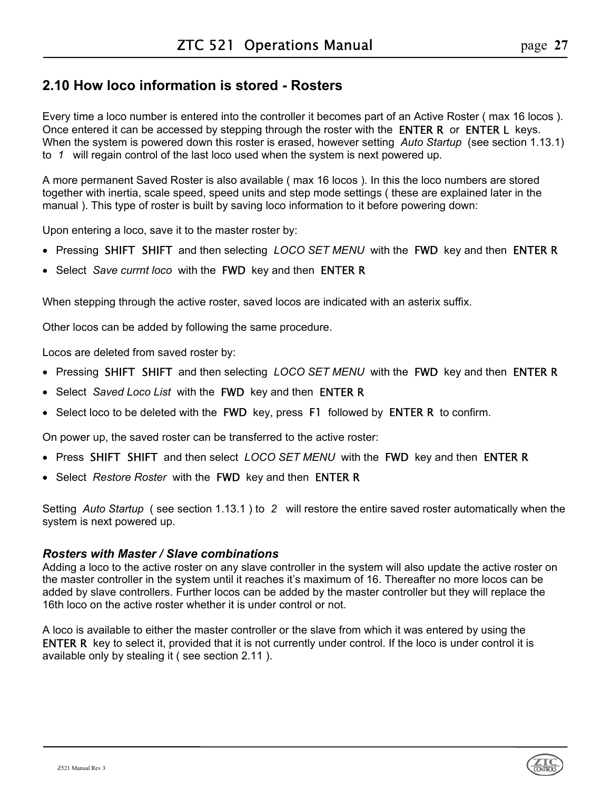# <span id="page-26-0"></span>**2.10 How loco information is stored - Rosters**

Every time a loco number is entered into the controller it becomes part of an Active Roster ( max 16 locos ). Once entered it can be accessed by stepping through the roster with the **ENTER R** or **ENTER L** keys. When the system is powered down this roster is erased, however setting *Auto Startup* (see section 1.13.1) to *1* will regain control of the last loco used when the system is next powered up.

A more permanent Saved Roster is also available ( max 16 locos ). In this the loco numbers are stored together with inertia, scale speed, speed units and step mode settings ( these are explained later in the manual ). This type of roster is built by saving loco information to it before powering down:

Upon entering a loco, save it to the master roster by:

- Pressing SHIFT SHIFT and then selecting *LOCO SET MENU* with the FWD key and then ENTER R
- Select *Save currnt loco* with the FWD key and then ENTER R

When stepping through the active roster, saved locos are indicated with an asterix suffix.

Other locos can be added by following the same procedure.

Locos are deleted from saved roster by:

- Pressing SHIFT SHIFT and then selecting *LOCO SET MENU* with the FWD key and then ENTER R
- Select *Saved Loco List* with the FWD key and then ENTER R
- Select loco to be deleted with the FWD key, press F1 followed by ENTER R to confirm.

On power up, the saved roster can be transferred to the active roster:

- Press SHIFT SHIFT and then select *LOCO SET MENU* with the FWD key and then ENTER R
- Select *Restore Roster* with the FWD key and then ENTER R

Setting *Auto Startup* ( see section 1.13.1 ) to *2* will restore the entire saved roster automatically when the system is next powered up.

#### *Rosters with Master / Slave combinations*

Adding a loco to the active roster on any slave controller in the system will also update the active roster on the master controller in the system until it reaches it's maximum of 16. Thereafter no more locos can be added by slave controllers. Further locos can be added by the master controller but they will replace the 16th loco on the active roster whether it is under control or not.

A loco is available to either the master controller or the slave from which it was entered by using the ENTER R key to select it, provided that it is not currently under control. If the loco is under control it is available only by stealing it ( see section 2.11 ).

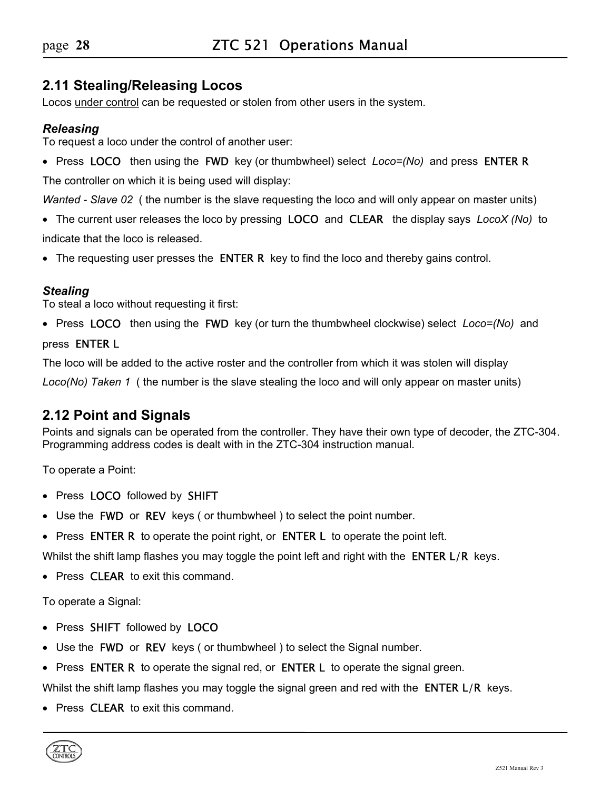# <span id="page-27-0"></span>**2.11 Stealing/Releasing Locos**

Locos under control can be requested or stolen from other users in the system.

### *Releasing*

To request a loco under the control of another user:

• Press LOCOthen using the FWD key (or thumbwheel) select *Loco=(No)* and pressENTER R

The controller on which it is being used will display:

*Wanted - Slave 02* ( the number is the slave requesting the loco and will only appear on master units)

- The current user releases the loco by pressing LOCO and CLEARthe display says *LocoX (No)* to indicate that the loco is released.
- The requesting user presses the **ENTER R** key to find the loco and thereby gains control.

### *Stealing*

To steal a loco without requesting it first:

• Press LOCOthen using the FWD key (or turn the thumbwheel clockwise) select *Loco=(No)* and

#### pressENTER L

The loco will be added to the active roster and the controller from which it was stolen will display

*Loco(No) Taken 1* ( the number is the slave stealing the loco and will only appear on master units)

# <span id="page-27-1"></span>**2.12 Point and Signals**

Points and signals can be operated from the controller. They have their own type of decoder, the ZTC-304. Programming address codes is dealt with in the ZTC-304 instruction manual.

To operate a Point:

- Press LOCO followed by SHIFT
- Use the FWD or REV keys ( or thumbwheel ) to select the point number.
- Press ENTER R to operate the point right, or ENTER L to operate the point left.

Whilst the shift lamp flashes you may toggle the point left and right with the **ENTER L/R** keys.

• Press **CLEAR** to exit this command.

To operate a Signal:

- Press SHIFT followed by LOCO
- Use the **FWD** or **REV** keys (or thumbwheel) to select the Signal number.
- Press **ENTER R** to operate the signal red, or **ENTER L** to operate the signal green.

Whilst the shift lamp flashes you may toggle the signal green and red with the **ENTER L/R** keys.

• Press **CLEAR** to exit this command.

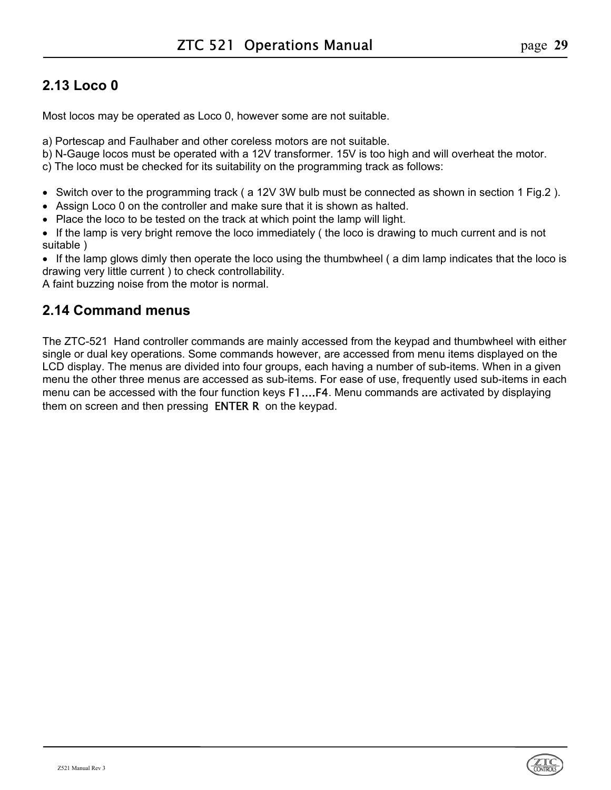# <span id="page-28-0"></span>**2.13 Loco 0**

Most locos may be operated as Loco 0, however some are not suitable.

a) Portescap and Faulhaber and other coreless motors are not suitable.

b) N-Gauge locos must be operated with a 12V transformer. 15V is too high and will overheat the motor.

c) The loco must be checked for its suitability on the programming track as follows:

- Switch over to the programming track ( a 12V 3W bulb must be connected as shown in section 1 Fig.2 ).
- Assign Loco 0 on the controller and make sure that it is shown as halted.
- Place the loco to be tested on the track at which point the lamp will light.
- If the lamp is very bright remove the loco immediately ( the loco is drawing to much current and is not suitable )

• If the lamp glows dimly then operate the loco using the thumbwheel ( a dim lamp indicates that the loco is drawing very little current ) to check controllability.

A faint buzzing noise from the motor is normal.

# <span id="page-28-1"></span>**2.14 Command menus**

The ZTC-521 Hand controller commands are mainly accessed from the keypad and thumbwheel with either single or dual key operations. Some commands however, are accessed from menu items displayed on the LCD display. The menus are divided into four groups, each having a number of sub-items. When in a given menu the other three menus are accessed as sub-items. For ease of use, frequently used sub-items in each menu can be accessed with the four function keys F1....F4. Menu commands are activated by displaying them on screen and then pressing **ENTER R** on the keypad.

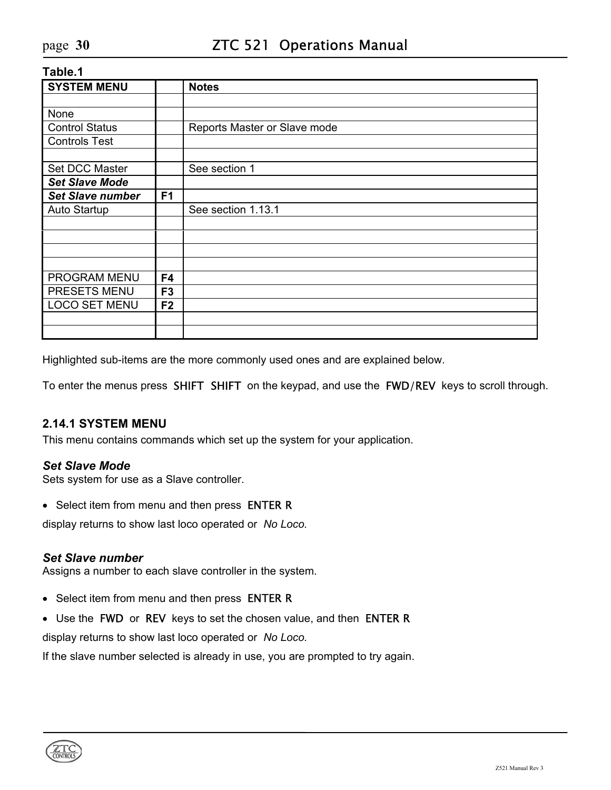| <b>SYSTEM MENU</b>      |                | <b>Notes</b>                 |
|-------------------------|----------------|------------------------------|
|                         |                |                              |
| None                    |                |                              |
| <b>Control Status</b>   |                | Reports Master or Slave mode |
| <b>Controls Test</b>    |                |                              |
|                         |                |                              |
| Set DCC Master          |                | See section 1                |
| <b>Set Slave Mode</b>   |                |                              |
| <b>Set Slave number</b> | F <sub>1</sub> |                              |
| Auto Startup            |                | See section 1.13.1           |
|                         |                |                              |
|                         |                |                              |
|                         |                |                              |
|                         |                |                              |
| PROGRAM MENU            | F <sub>4</sub> |                              |
| PRESETS MENU            | F <sub>3</sub> |                              |
| <b>LOCO SET MENU</b>    | F <sub>2</sub> |                              |
|                         |                |                              |
|                         |                |                              |

Highlighted sub-items are the more commonly used ones and are explained below.

To enter the menus press SHIFT SHIFT on the keypad, and use the FWD/REV keys to scroll through.

# <span id="page-29-0"></span>**2.14.1 SYSTEM MENU**

This menu contains commands which set up the system for your application.

#### *Set Slave Mode*

Sets system for use as a Slave controller.

• Select item from menu and then press ENTER R

display returns to show last loco operated or *No Loco.*

#### *Set Slave number*

Assigns a number to each slave controller in the system.

- Select item from menu and then press ENTER R
- Use the FWD or REV keys to set the chosen value, and then ENTER R

display returns to show last loco operated or *No Loco.*

If the slave number selected is already in use, you are prompted to try again.

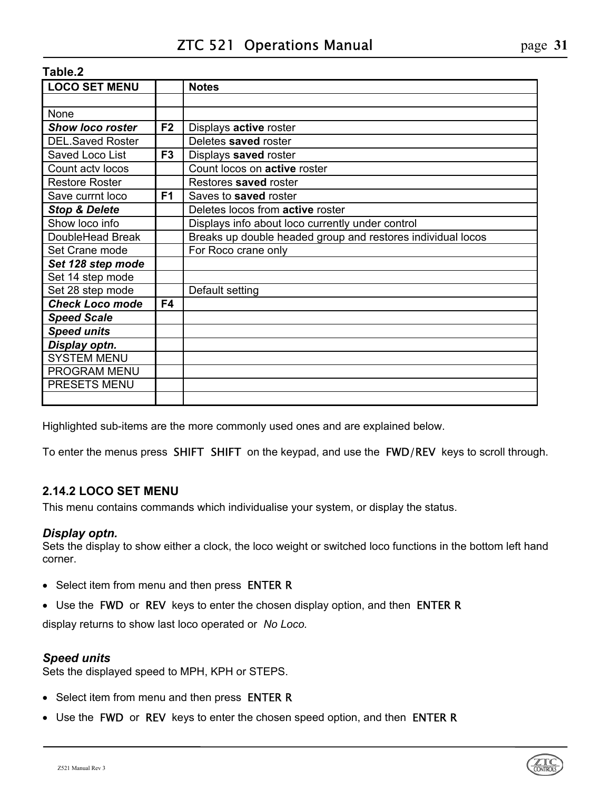| <b>LOCO SET MENU</b>     |                | <b>Notes</b>                                                |
|--------------------------|----------------|-------------------------------------------------------------|
|                          |                |                                                             |
| None                     |                |                                                             |
| <b>Show loco roster</b>  | F <sub>2</sub> | Displays active roster                                      |
| <b>DEL.Saved Roster</b>  |                | Deletes saved roster                                        |
| Saved Loco List          | F <sub>3</sub> | Displays saved roster                                       |
| Count actv locos         |                | Count locos on active roster                                |
| <b>Restore Roster</b>    |                | Restores saved roster                                       |
| Save currnt loco         | F <sub>1</sub> | Saves to saved roster                                       |
| <b>Stop &amp; Delete</b> |                | Deletes locos from active roster                            |
| Show loco info           |                | Displays info about loco currently under control            |
| DoubleHead Break         |                | Breaks up double headed group and restores individual locos |
| Set Crane mode           |                | For Roco crane only                                         |
| Set 128 step mode        |                |                                                             |
| Set 14 step mode         |                |                                                             |
| Set 28 step mode         |                | Default setting                                             |
| <b>Check Loco mode</b>   | F4             |                                                             |
| <b>Speed Scale</b>       |                |                                                             |
| <b>Speed units</b>       |                |                                                             |
| Display optn.            |                |                                                             |
| <b>SYSTEM MENU</b>       |                |                                                             |
| PROGRAM MENU             |                |                                                             |
| PRESETS MENU             |                |                                                             |
|                          |                |                                                             |

Highlighted sub-items are the more commonly used ones and are explained below.

To enter the menus press SHIFT SHIFT on the keypad, and use the FWD/REV keys to scroll through.

# <span id="page-30-0"></span>**2.14.2 LOCO SET MENU**

This menu contains commands which individualise your system, or display the status.

#### *Display optn.*

Sets the display to show either a clock, the loco weight or switched loco functions in the bottom left hand corner.

- Select item from menu and then press **ENTER R**
- Use the FWD or REV keys to enter the chosen display option, and then ENTER R

display returns to show last loco operated or *No Loco.*

#### *Speed units*

Sets the displayed speed to MPH, KPH or STEPS.

- Select item from menu and then press ENTER R
- Use the FWD or REV keys to enter the chosen speed option, and then ENTER R

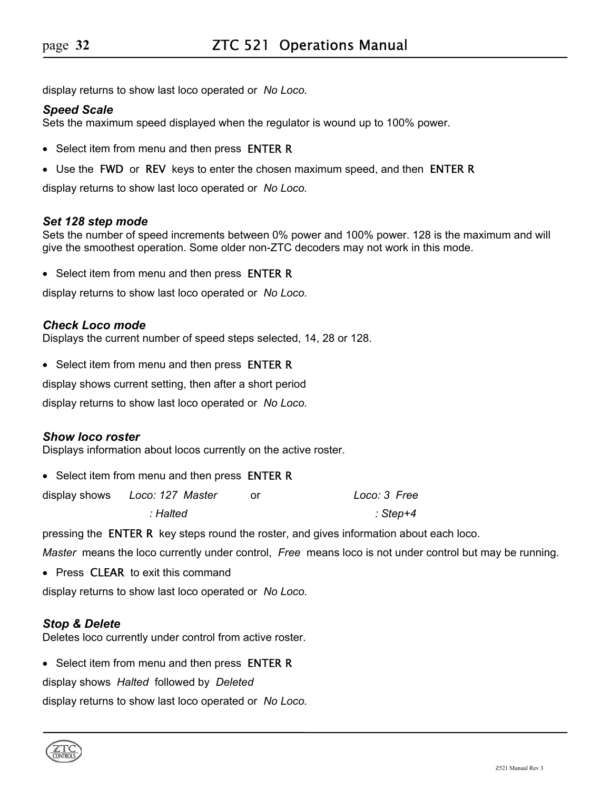display returns to show last loco operated or *No Loco.*

#### *Speed Scale*

Sets the maximum speed displayed when the regulator is wound up to 100% power.

- Select item from menu and then press **ENTER R**
- Use the FWD or REV keys to enter the chosen maximum speed, and then ENTER R

display returns to show last loco operated or *No Loco.*

#### *Set 128 step mode*

Sets the number of speed increments between 0% power and 100% power. 128 is the maximum and will give the smoothest operation. Some older non-ZTC decoders may not work in this mode.

• Select item from menu and then press **ENTER R** 

display returns to show last loco operated or *No Loco.*

#### *Check Loco mode*

Displays the current number of speed steps selected, 14, 28 or 128.

• Select item from menu and then press **ENTER R** 

display shows current setting, then after a short period

display returns to show last loco operated or *No Loco.*

#### *Show loco roster*

Displays information about locos currently on the active roster.

• Select item from menu and then press **ENTER R** 

| display shows Loco: 127 Master | Loco: 3 Free |
|--------------------------------|--------------|
| : Halted                       | : Step+4     |

pressing the ENTER Rkey steps round the roster, and gives information about each loco.

*Master* means the loco currently under control, *Free* means loco is not under control but may be running.

• Press **CLEAR** to exit this command

display returns to show last loco operated or *No Loco.*

#### *Stop & Delete*

Deletes loco currently under control from active roster.

• Select item from menu and then press **ENTER R** 

display shows *Halted* followed by *Deleted*

display returns to show last loco operated or *No Loco.*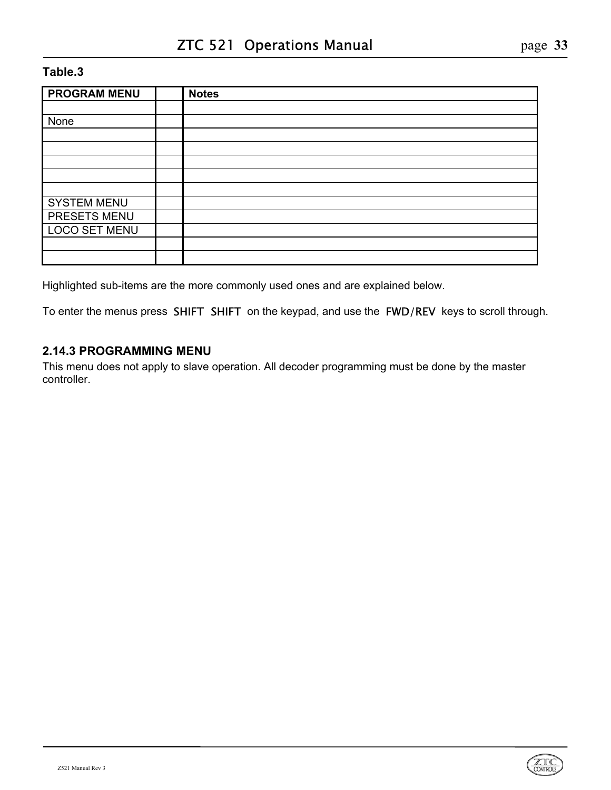| <b>PROGRAM MENU</b>  | <b>Notes</b> |
|----------------------|--------------|
|                      |              |
| None                 |              |
|                      |              |
|                      |              |
|                      |              |
|                      |              |
|                      |              |
| <b>SYSTEM MENU</b>   |              |
| PRESETS MENU         |              |
| <b>LOCO SET MENU</b> |              |
|                      |              |
|                      |              |

Highlighted sub-items are the more commonly used ones and are explained below.

To enter the menus press SHIFT SHIFT on the keypad, and use the FWD/REV keys to scroll through.

### <span id="page-32-0"></span>**2.14.3 PROGRAMMING MENU**

This menu does not apply to slave operation. All decoder programming must be done by the master controller.

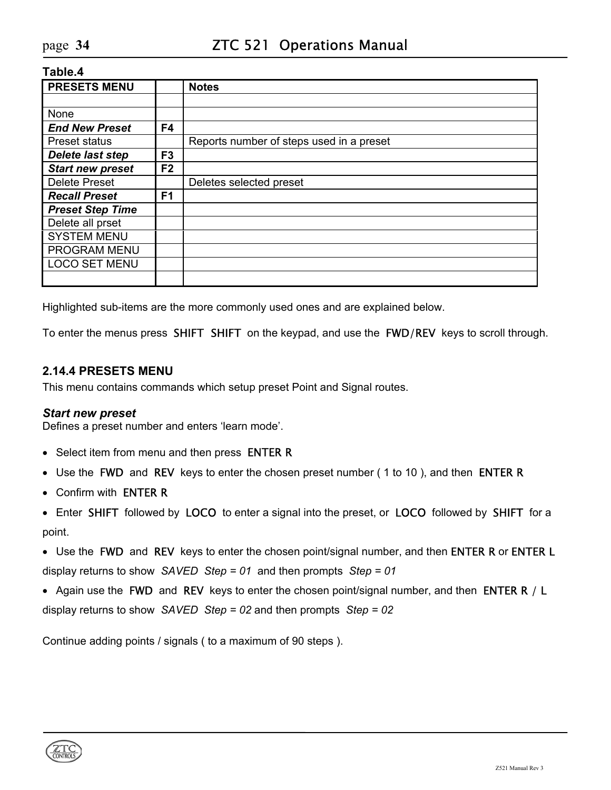| <b>PRESETS MENU</b>     |                | <b>Notes</b>                             |
|-------------------------|----------------|------------------------------------------|
|                         |                |                                          |
| None                    |                |                                          |
| <b>End New Preset</b>   | F4             |                                          |
| <b>Preset status</b>    |                | Reports number of steps used in a preset |
| <b>Delete last step</b> | F <sub>3</sub> |                                          |
| <b>Start new preset</b> | F <sub>2</sub> |                                          |
| <b>Delete Preset</b>    |                | Deletes selected preset                  |
| <b>Recall Preset</b>    | F <sub>1</sub> |                                          |
| <b>Preset Step Time</b> |                |                                          |
| Delete all prset        |                |                                          |
| <b>SYSTEM MENU</b>      |                |                                          |
| <b>PROGRAM MENU</b>     |                |                                          |
| <b>LOCO SET MENU</b>    |                |                                          |
|                         |                |                                          |

Highlighted sub-items are the more commonly used ones and are explained below.

To enter the menus press SHIFT SHIFT on the keypad, and use the FWD/REV keys to scroll through.

### <span id="page-33-0"></span>**2.14.4 PRESETS MENU**

This menu contains commands which setup preset Point and Signal routes.

#### *Start new preset*

Defines a preset number and enters 'learn mode'.

- Select item from menu and then press **ENTER R**
- Use the FWD and REV keys to enter the chosen preset number (1 to 10), and then ENTER R
- Confirm with ENTER R
- Enter SHIFT followed by LOCO to enter a signal into the preset, or LOCO followed by SHIFT for a point.
- Use the FWD and REV keys to enter the chosen point/signal number, and then ENTER R or ENTER L display returns to show *SAVED Step = 01* and then prompts *Step = 01*
- Again use the FWD and REV keys to enter the chosen point/signal number, and then ENTER R / L display returns to show *SAVED Step = 02* and then prompts *Step = 02*

Continue adding points / signals ( to a maximum of 90 steps ).

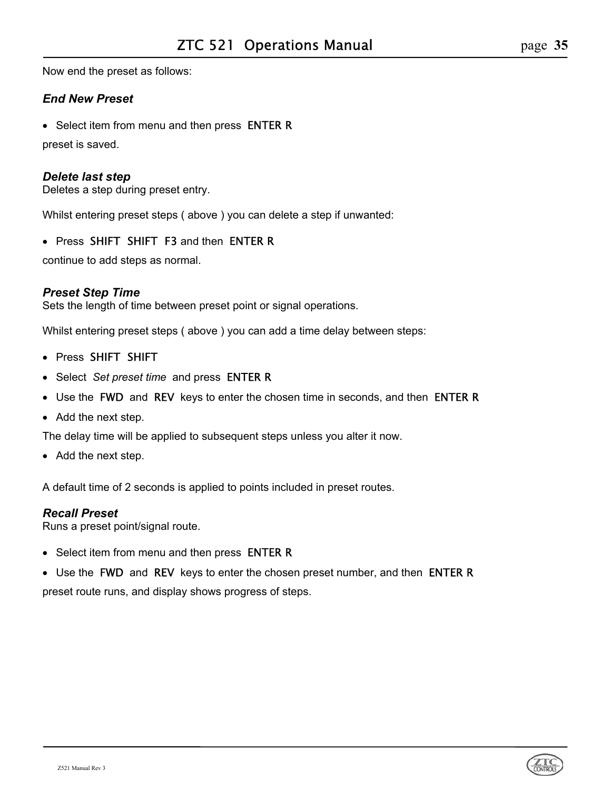Now end the preset as follows:

### *End New Preset*

• Select item from menu and then press **ENTER R** 

preset is saved.

### *Delete last step*

Deletes a step during preset entry.

Whilst entering preset steps ( above ) you can delete a step if unwanted:

• Press SHIFT SHIFT F3 and then ENTER R

continue to add steps as normal.

### *Preset Step Time*

Sets the length of time between preset point or signal operations.

Whilst entering preset steps ( above ) you can add a time delay between steps:

- Press SHIFT SHIFT
- Select *Set preset time* and press ENTER R
- Use the FWD and REV keys to enter the chosen time in seconds, and then ENTER R
- Add the next step.

The delay time will be applied to subsequent steps unless you alter it now.

• Add the next step.

A default time of 2 seconds is applied to points included in preset routes.

#### *Recall Preset*

Runs a preset point/signal route.

- Select item from menu and then press **ENTER R**
- Use the FWD and REV keys to enter the chosen preset number, and then ENTER R

preset route runs, and display shows progress of steps.

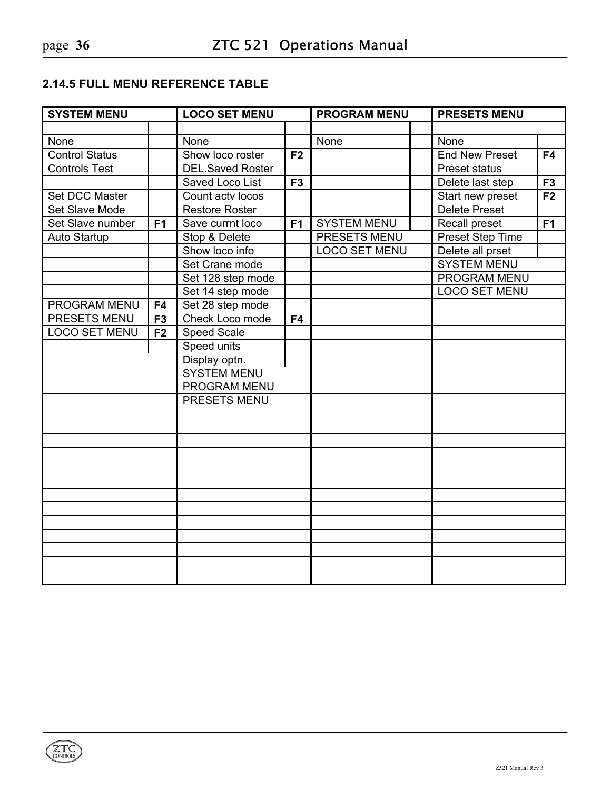# <span id="page-35-0"></span>**2.14.5 FULL MENU REFERENCE TABLE**

| <b>SYSTEM MENU</b>    |                | <b>LOCO SET MENU</b>    |                | <b>PROGRAM MENU</b>  |  | <b>PRESETS MENU</b>   |                |
|-----------------------|----------------|-------------------------|----------------|----------------------|--|-----------------------|----------------|
|                       |                |                         |                |                      |  |                       |                |
| None                  |                | None                    |                | None                 |  | None                  |                |
| <b>Control Status</b> |                | Show loco roster        | F <sub>2</sub> |                      |  | <b>End New Preset</b> | F4             |
| <b>Controls Test</b>  |                | <b>DEL.Saved Roster</b> |                |                      |  | <b>Preset status</b>  |                |
|                       |                | Saved Loco List         | F <sub>3</sub> |                      |  | Delete last step      | F <sub>3</sub> |
| Set DCC Master        |                | Count actv locos        |                |                      |  | Start new preset      | F <sub>2</sub> |
| Set Slave Mode        |                | <b>Restore Roster</b>   |                |                      |  | <b>Delete Preset</b>  |                |
| Set Slave number      | F <sub>1</sub> | Save currnt loco        | F <sub>1</sub> | <b>SYSTEM MENU</b>   |  | Recall preset         | F <sub>1</sub> |
| Auto Startup          |                | Stop & Delete           |                | <b>PRESETS MENU</b>  |  | Preset Step Time      |                |
|                       |                | Show loco info          |                | <b>LOCO SET MENU</b> |  | Delete all prset      |                |
|                       |                | Set Crane mode          |                |                      |  | <b>SYSTEM MENU</b>    |                |
|                       |                | Set 128 step mode       |                |                      |  | <b>PROGRAM MENU</b>   |                |
|                       |                | Set 14 step mode        |                |                      |  | <b>LOCO SET MENU</b>  |                |
| PROGRAM MENU          | F4             | Set 28 step mode        |                |                      |  |                       |                |
| PRESETS MENU          | F <sub>3</sub> | Check Loco mode         | F4             |                      |  |                       |                |
| <b>LOCO SET MENU</b>  | F <sub>2</sub> | <b>Speed Scale</b>      |                |                      |  |                       |                |
|                       |                | Speed units             |                |                      |  |                       |                |
|                       |                | Display optn.           |                |                      |  |                       |                |
|                       |                | <b>SYSTEM MENU</b>      |                |                      |  |                       |                |
|                       |                | <b>PROGRAM MENU</b>     |                |                      |  |                       |                |
|                       |                | PRESETS MENU            |                |                      |  |                       |                |
|                       |                |                         |                |                      |  |                       |                |
|                       |                |                         |                |                      |  |                       |                |
|                       |                |                         |                |                      |  |                       |                |
|                       |                |                         |                |                      |  |                       |                |
|                       |                |                         |                |                      |  |                       |                |
|                       |                |                         |                |                      |  |                       |                |
|                       |                |                         |                |                      |  |                       |                |
|                       |                |                         |                |                      |  |                       |                |
|                       |                |                         |                |                      |  |                       |                |
|                       |                |                         |                |                      |  |                       |                |
|                       |                |                         |                |                      |  |                       |                |
|                       |                |                         |                |                      |  |                       |                |
|                       |                |                         |                |                      |  |                       |                |